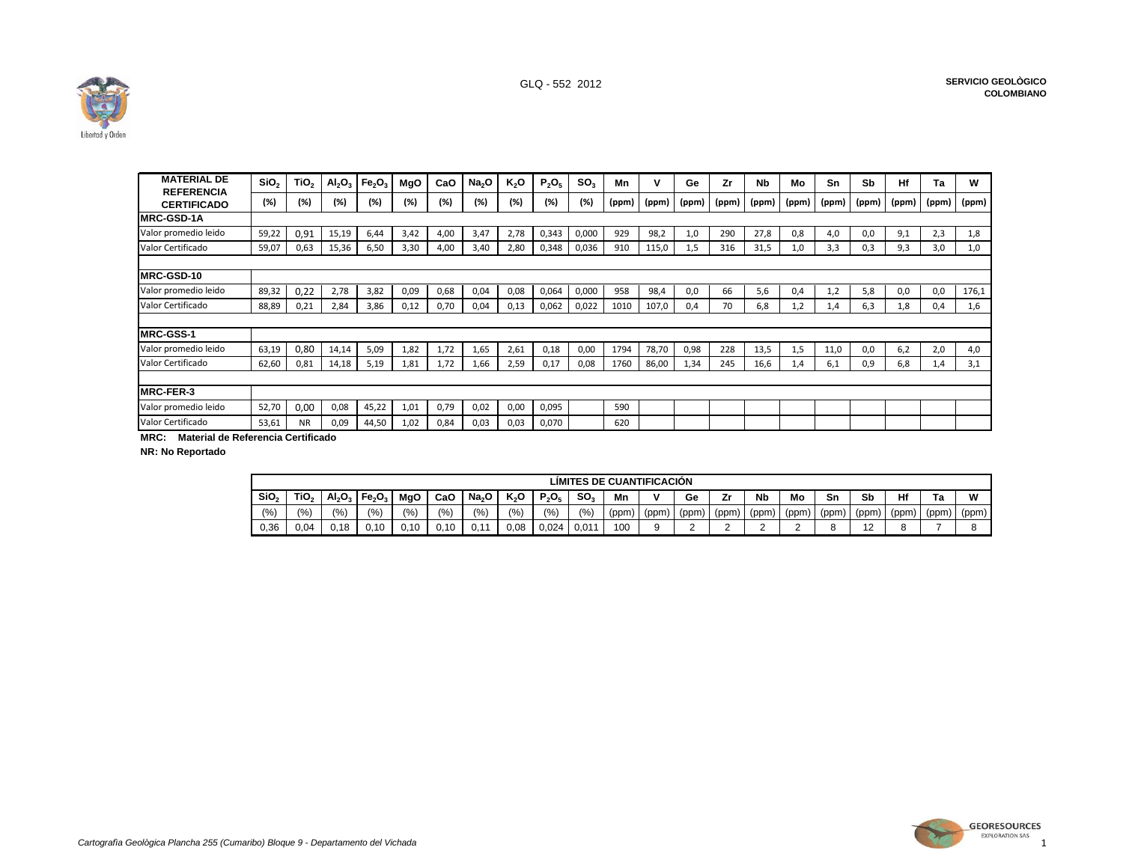

| <b>MATERIAL DE</b><br><b>REFERENCIA</b>        | SiO <sub>2</sub> | TiO <sub>2</sub> | AI <sub>2</sub> O <sub>3</sub> | Fe <sub>2</sub> O <sub>3</sub> | <b>MgO</b> | CaO  | Na <sub>2</sub> O | K <sub>2</sub> O | $P_2O_5$ | SO <sub>3</sub> | Mn    |       | Ge    | Zr    | <b>Nb</b> | Mо    | Sn    | Sb    | Hf    | Ta    | W     |
|------------------------------------------------|------------------|------------------|--------------------------------|--------------------------------|------------|------|-------------------|------------------|----------|-----------------|-------|-------|-------|-------|-----------|-------|-------|-------|-------|-------|-------|
| <b>CERTIFICADO</b>                             | (%)              | (%)              | (%)                            | (%)                            | (%)        | (%)  | $(\%)$            | (%)              | (%)      | (%)             | (ppm) | (ppm) | (ppm) | (ppm) | (ppm)     | (ppm) | (ppm) | (ppm) | (ppm) | (ppm) | (ppm) |
| <b>IRC-GSD-1A</b>                              |                  |                  |                                |                                |            |      |                   |                  |          |                 |       |       |       |       |           |       |       |       |       |       |       |
| Valor promedio leido                           | 59,22            | 0,91             | 15,19                          | 6,44                           | 3,42       | 4,00 | 3,47              | 2,78             | 0,343    | 0,000           | 929   | 98,2  | 1,0   | 290   | 27,8      | 0,8   | 4,0   | 0,0   | 9,1   | 2,3   | 1,8   |
| Valor Certificado                              | 59,07            | 0,63             | 15,36                          | 6,50                           | 3,30       | 4,00 | 3,40              | 2,80             | 0,348    | 0,036           | 910   | 115,0 | 1,5   | 316   | 31,5      | 1,0   | 3,3   | 0,3   | 9,3   | 3,0   | 1,0   |
| <b>MRC-GSD-10</b>                              |                  |                  |                                |                                |            |      |                   |                  |          |                 |       |       |       |       |           |       |       |       |       |       |       |
| Valor promedio leido                           | 89,32            | 0,22             | 2,78                           | 3,82                           | 0,09       | 0,68 | 0,04              | 0,08             | 0,064    | 0,000           | 958   | 98,4  | 0,0   | 66    | 5,6       | 0,4   | 1,2   | 5,8   | 0,0   | 0,0   | 176,1 |
| Valor Certificado                              | 88,89            | 0,21             | 2,84                           | 3,86                           | 0,12       | 0,70 | 0,04              | 0,13             | 0,062    | 0,022           | 1010  | 107,0 | 0.4   | 70    | 6.8       | 1,2   | 1.4   | 6,3   | 1,8   | 0,4   | 1,6   |
| <b>MRC-GSS-1</b>                               |                  |                  |                                |                                |            |      |                   |                  |          |                 |       |       |       |       |           |       |       |       |       |       |       |
| Valor promedio leido                           | 63,19            | 0,80             | 14,14                          | 5,09                           | 1,82       | 1,72 | 1,65              | 2,61             | 0,18     | 0,00            | 1794  | 78,70 | 0,98  | 228   | 13,5      | 1,5   | 11,0  | 0,0   | 6,2   | 2,0   | 4,0   |
| Valor Certificado                              | 62,60            | 0,81             | 14,18                          | 5,19                           | 1,81       | 1,72 | 1,66              | 2,59             | 0,17     | 0,08            | 1760  | 86,00 | 1,34  | 245   | 16,6      | 1,4   | 6,1   | 0,9   | 6,8   | 1,4   | 3,1   |
|                                                |                  |                  |                                |                                |            |      |                   |                  |          |                 |       |       |       |       |           |       |       |       |       |       |       |
| <b>IRC-FER-3</b>                               |                  |                  |                                |                                |            |      |                   |                  |          |                 |       |       |       |       |           |       |       |       |       |       |       |
| Valor promedio leido                           | 52,70            | 0,00             | 0,08                           | 45,22                          | 1,01       | 0,79 | 0,02              | 0,00             | 0,095    |                 | 590   |       |       |       |           |       |       |       |       |       |       |
| Valor Certificado<br>$\mathbf{M} = \mathbf{M}$ | 53,61            | <b>NR</b>        | 0,09                           | 44,50                          | 1,02       | 0,84 | 0,03              | 0,03             | 0,070    |                 | 620   |       |       |       |           |       |       |       |       |       |       |

**MRC: Material de Referencia Certificado**

**NR: No Reportado**

|                  |                  |           |                                |      |           |                   |       |          |           |       | LIMITES DE CUANTIFICACIÓN |       |       |                      |       |       |                            |      |      |       |
|------------------|------------------|-----------|--------------------------------|------|-----------|-------------------|-------|----------|-----------|-------|---------------------------|-------|-------|----------------------|-------|-------|----------------------------|------|------|-------|
| SiO <sub>2</sub> | TiO <sub>2</sub> | $Al_2O_3$ | Fe <sub>2</sub> O <sub>3</sub> | MgO  | CaO       | Na <sub>2</sub> O | K,O   | $P_2O_5$ | <b>SO</b> | Mn    |                           | Ge    | Zr    | <b>N<sub>b</sub></b> | Mo    | Sn    | Sb                         | Hf   | Γа   | W     |
| (9/6)            | (% )             | (9/6)     | (9/6)                          | (%)  | (9/6)     | (%)               | (9/6) | (%       | (%)       | (ppm) | (ppm)                     | (ppm) | (ppm) | (ppm)                | (ppm) | (ppm) | (ppm)                      | (ppm | (ppm | (ppm) |
| 0,36             | 0.04             | .18<br>v. | 0.10                           | 0.10 | .10<br>v. | v.                | ,08   | 0.024    | 0.01'     | 100   |                           | ∼     | -     |                      |       |       | $\overline{ }$<br><u>.</u> |      |      |       |

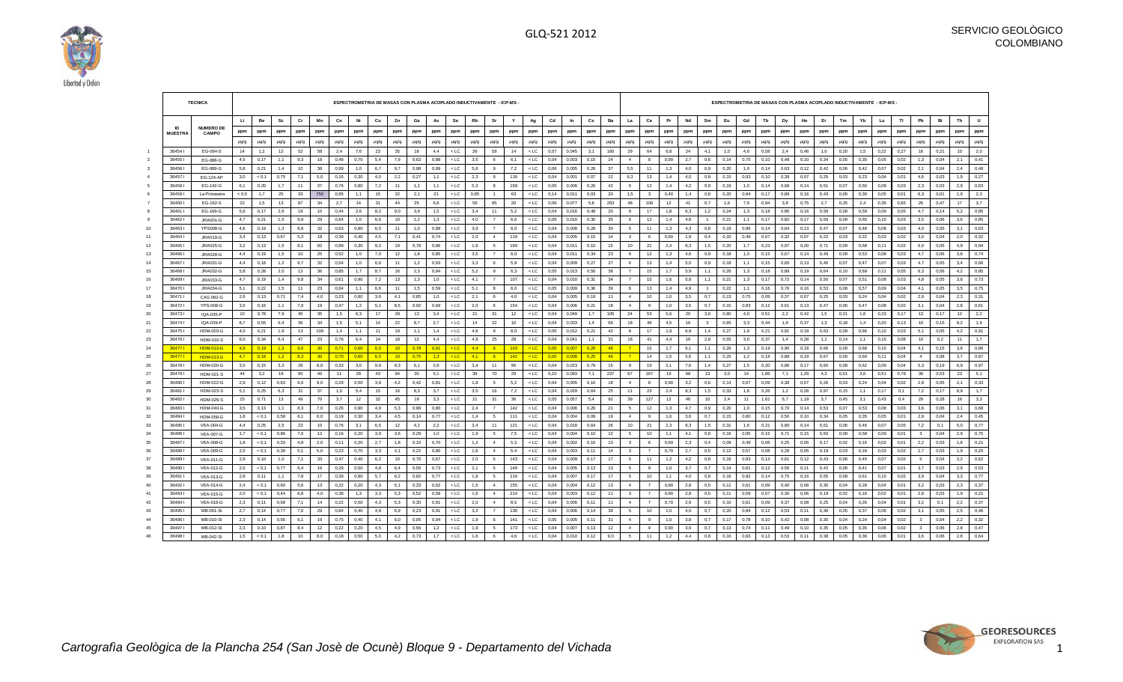

|          |                | <b>TECNICA</b>                       |            |              |            |          |                 |             | ESPECTROMETRIA DE MASAS CON PLASMA ACOPLADO INDUCTIVAMENTE - ICP-MS - |           |                 |           |            |                  |            |                                |           |                  |              |                |             |           |                                  |                 |            |           |                     |              |            |              | ESPECTROMETRIA DE MASAS CON PLASMA ACOPLADO INDUCTIVAMENTE - ICP-MS - |              |             |              |             |               |              |                         |              |           |            |
|----------|----------------|--------------------------------------|------------|--------------|------------|----------|-----------------|-------------|-----------------------------------------------------------------------|-----------|-----------------|-----------|------------|------------------|------------|--------------------------------|-----------|------------------|--------------|----------------|-------------|-----------|----------------------------------|-----------------|------------|-----------|---------------------|--------------|------------|--------------|-----------------------------------------------------------------------|--------------|-------------|--------------|-------------|---------------|--------------|-------------------------|--------------|-----------|------------|
|          |                |                                      | Li.        | Be           | Sc         | Cr       | Mn              | Co          | Ni                                                                    | Cu        | Zn              | Ga        | As         | Se               | Rb         | Sr                             | Y         | Ag               | Cd           | In             | Cs          | Ba        | La                               | Ce              | Pr         | Nd        | Sm                  | Eu           | Gd         | Tb           | Dy                                                                    | Ho           | Er          | Tm           | Yb          | Lu            | TI           | Pb                      | Bi           | Th        | U          |
|          | <b>ID</b>      | <b>NUMERO DE</b>                     | ppm        | ppm          | ppm        | ppm      | ppm             | ppm         | ppm                                                                   | ppm       | ppm             | ppm       | ppm        | ppm              | ppm        | ppm                            | ppm       | ppm              | ppm          | ppm            | ppm         | ppm       | ppm                              | ppm             | ppm        | ppm       | ppm                 | ppm          | ppm        | ppm          | ppm                                                                   | ppm          | ppm         | ppm          | ppm         | ppm           | ppm          | ppm                     | ppm          | ppm       | ppm        |
|          | <b>MUESTRA</b> | <b>CAMPO</b>                         |            |              |            |          |                 |             |                                                                       |           |                 |           |            |                  |            |                                |           |                  |              |                |             |           |                                  |                 |            |           |                     |              |            |              |                                                                       |              |             |              |             |               |              |                         |              |           |            |
|          |                |                                      | $\mu$ g/g  | µg/g         | µg/g       | µg/g     | µg/g            | µg/g        | µg/g                                                                  | $\mu q/q$ | pq/q            | µg/g      | µg/g       | $\mu$ g/g        | µg/g       | µg/g                           | µg/g      | µg/g             | µg/g         | µg/g           | µg/g        | µg/g      | µg/g                             | $\mu q/q$       | µg/g       | µg/g      | µg/g                | µg/g         | µg/g       | µg/g         | µg/g                                                                  | p/pu         | µg/g        | µg/g         | µg/g        | µg/g          | µg/g         | µg/g                    | p/pu         | µg/g      | $\mu$ g/g  |
|          | 364541         | EG-064-S                             | 14         | 1,2          | 12         | 52       | 58              | 2,4         | 7,6                                                                   | -23       | 35              | 18        | 4,4        | $<$ LC           | 26         | 59                             | 14        | $<$ LC           | 0,07         | 0.045          | 3,1         | 160       | 29                               | 64              | 6,8        | 24        | 4.1                 | 1,0          | 4,6        | 0,58         | 2,4                                                                   | 0,46         | 1,6         | 0,20         | 1,5         | 0,22          | 0,27         | 16                      | 0,21         | 10        | 2,0        |
|          | 36455          | EG-088-G                             | 4.5        | 0.17         | 1.1        | 9.3      | 18              | 0.48        | 0.70                                                                  | 5.4       | 7.9             | 0.63      | 0.88       | $<$ LC           | 3.5        | 6                              | 6.1       | $<$ LC           | 0.04         | 0.003          | 0.15        | 24        | $\overline{4}$                   | $\mathbf{a}$    | 0.90       | 2.7       | 0,6                 | 0.14         | 0.75       | 0.10         | 0.48                                                                  | 0.10         | 0.34        | 0.05         | 0.35        | 0.05          | 0.02         | 1.3                     | 0.04         | 2.1       | 0.41       |
|          | 36456          | EG-089-G                             | 5.8        | 0,21         | 1.4        | 10       | 38              | 0,99        | 1,0                                                                   | 6.7       | 9,7             | 0,98      | 0.99       | $<$ LC           | 5,6        | 9                              | 7,2       | $<$ LC           | 0,06         | 0.005          | 0,26        | 37        | 5,5                              | 11              | 1,3        | 4,0       | 0.9                 | 0,20         | 1,0        | 0,14         | 0.63                                                                  | 0,12         | 0,42        | 0.06         | 0,42        | 0,07          | 0,02         | 2.1                     | 0,04         | 2,4       | 0,48       |
|          | 36457          | EG-124-AP                            | 3,0        | < 0.1        | 0,75       | 7,1      | 5,0             | 0,16        | 0,30                                                                  | 4,0       | 2,2             | 0,27      | 1,1        | $<$ LC           | 2,3        | 9                              | 116       | < LC             | 0,04         | 0,001          | 0,07        | 12        | 6,3                              | 13              | 1,4        | 4,0       | 0,8                 | 0,15         | 0,93       | 0, 10        | 0,39                                                                  | 0.07         | 0,25        | 0,03         | 0,23        | 0,04          | 0,01         | 4,6                     | 0,03         | 1,9       | 0,27       |
|          | 36458          | EG-142-G                             | 6,1        | 0.20         | 1,7        | 11       | 37              | 0.76        | 0.80                                                                  | 7,2       | 11              | 1,1       | 1.1        | $\leq$ I C       | 5,3        | $\mathbf{a}$                   | 159       | $<$ LC           | 0,05         | 0.006          | 0.26        | 42        | -6                               | 12              | 1.4        | 4,2       | 0.9                 | 0.19         | 1,0        | 0.14         | 0.68                                                                  | 0.14         | 0,51        | 0.07         | 0.50        | 0.08          | 0.03         | 23                      | 0.03         | 2,9       | 0.63       |
|          | 36459          | La Primavera                         | ${}< 0.5$  | 1,7          | 25         | 33       | 750             | 0,95        | 1,1                                                                   | 15        | 32              | 2,1       | 21         | $<$ LC           | 0,85       | $\overline{1}$                 | 63        | $<$ LC           | 0,14         | 0.011          | 0,03        | 20        | 1,5                              | - 3             | 0,40       | 1,4       | 0.8                 | 0,20         | 0,84       | 0,17         | 0.89                                                                  | 0,16         | 0,43        | 0.06         | 0,39        | 0,05          | 0,01         | 6.3                     | 0,01         | 1,9       | 2,3        |
|          | 36460          | EG-162-S                             | 22         | 1,5          | 13         | 87       | 34              | 2,7         | 14                                                                    | 31        | 44              | 25        | 6,6        | $<$ LC           | 59         | 85                             | 20        | $<$ LC           | 0,06         | 0,077          | 5,8         | 263       | 48                               | 106             | 12         | 41        | 6,7                 | 1,6          | 7,6        | 0,94         | 3,8                                                                   | 0,75         | 2,7         | 0,35         | 2,4         | 0,36          | 0.65         | 26                      | 0,47         | 17        | 3,7        |
|          | 36461          | EG-169-G                             | 5,6        | 0,17         | 2,6        | 19       | 10              | 0,44        | 2,6                                                                   | 8,2       | 9,0             | 3,9       | 1,5        | $<$ LC           | 3,4        | 11                             | 5,2       | < LC             | 0,04         | 0,016          | 0,48        | 20        | 8                                | 17              | 1,8        | 6,3       | 1,2                 | 0,24         | 1,3        | 0,18         | 0,86                                                                  | 0, 16        | 0,58        | 0,08         | 0,59        | 0,09          | 0,05         | 4,7                     | 0,14         | 5,2       | 0,85       |
|          | 364621         | JRA001-G                             | 4.7        | 0,21         | 1,5        | 9,9      | 29              | 0.64        | 1.0                                                                   | 6.6       | $10-10$         | 1,2       | 1,3        | $<$ LC           | 4.0        | $\overline{7}$                 | 6.6       | $<$ LC           | 0,05         | 0.010          | 0.30        | 35        | 6                                | 12              | 1.4        | 4.8       |                     | 0,21         | 1,1        | 0.17         | 0.82                                                                  | 0.17         | 0,59        | 0.09         | 0.65        | 0.10          | 0.03         | 3.5                     | 0.06         | 3,6       | 0,85       |
| 10       | 36463          | <b>YPS008-G</b>                      | 4.6        | 0, 19        | 1,3        | 8,8      | 32              | 0,63        | 0,80                                                                  | 6,5       | 11              | 1,0       | 0,88       | $<$ LC           | 3,9        |                                | 6,0       | $<$ LC           | 0,04         | 0,008          | 0,28        | 30        | $5\phantom{.0}$                  | 11              | 1,3        | 4,3       | 0,8                 | 0, 19        | 0,96       | 0,14         | 0,64                                                                  | 0,13         | 0,47        | 0,07         | 0,48        | 0,08          | 0,03         | 4,0                     | 0,05         | 3,1       | 0,63       |
| 11       | 36464          | <b>JRA019-G</b>                      | 3,4        | 0,13         | 0.67       | 5,3      | 18              | 0,39        | 0,40                                                                  | 4,5       | 7,1             | 0,41      | 0,74       | $<$ LC           | 2,0        | $\overline{4}$                 | 119       | < LC             | 0,04         | 0,005          | 0,15        | 14        | $\mathbf{3}$                     | 6               | 0.60       | 1,9       | 0,4                 | 0, 10        | 0,49       | 0,07         | 0,32                                                                  | 0.07         | 0,22        | 0,03         | 0,22        | 0,03          | 0,02         | 3,0                     | 0,04         | 2,0       | 0,32       |
| 12       | 36465          | <b>JRA025-G</b>                      | 3,2        | 0, 13        | 1,5        | 8.1      | 82              | 0,89        | 0,30                                                                  | 9,2       | 19              | 0,78      | 0,86       | $<$ LC $\,$      | 1,6        | -5<br>$\overline{7}$           | 169       | < LC             | 0,04         | 0.011          | 0.10        | 15        | 10                               | 21              | 2,4        | 8,3       | 1,5                 | 0,20         | 1,7        | 0,23         | 0,97                                                                  | 0,20         | 0,71        | 0,09         | 0,68        | 0,11          | 0,02         | 6,0                     | 0,05         | 4,9       | 0,94       |
| 13       | 36466          | JRA028-G                             | 4,4        | 0, 19        | 1,5        | 10       | 25              | 0,52        | 1,0                                                                   | 7,0       | 12              | 1,8       | 0,85       | $<$ LC           | 3,5        |                                | 6,0       | $<$ LC           | 0,04         | 0,011          | 0,34        | 23        | 6                                | 12              | 1,3        | 4,6       | 0.9                 | 0,18         | 1,0        | 0,15         | 0,67                                                                  | 0,14         | 0,49        | 0.08         | 0,53        | 0,08          | 0,03         | 4,7                     | 0,06         | 3,8       | 0,74       |
| 14       | 36467          | JRA031-G                             | 4.4        | 0, 18        | 1,2        | 9,7      | 32              | 0,54        | 1,0                                                                   | 6.6       | 11              | 1,2       | 0,93       | $<$ LC           | 3,3        | 6                              | 5,9       | $<$ LC           | 0,04         | 0,009          | 0,27        | 27        | 6                                | 13              | 1.4        | 5,0       | 0.9                 | 0.18         | 1,1        | 0,15         | 0,65                                                                  | 0,13         | 0,46        | 0.07         | 0,47        | 0.07          | 0,03         | 4.7                     | 0,05         | 3,4       | 0,66       |
| 15       | 36468          | JRA032-G                             | 5,8        | 0,28         | 2,0        | 13       | 36              | 0,85        | 1,7                                                                   | 8,7       | 16              | 2,3       | 0,94       | $<$ LC           | 5,2        | 9                              | 6,3       | $<$ LC           | 0,05         | 0,013          | 0,50        | 38        | $\overline{7}$                   | 15              | 1,7        | 5,9       | 1,1                 | 0,26         | 1,3        | 0,18         | 0.89                                                                  | 0, 19        | 0,64        | 0,10         | 0,69        | 0,11          | 0,05         | 6,3                     | 0,06         | 4,2       | 0,95       |
| 16       | 36469<br>36470 | JRA033-G                             | 4.7        | 0, 19        | 1,4        | 9,8      | 34              | 0,61        | 0,90                                                                  | 7,2       | 13<br>11        | 1,3       | 1,0        | $<$ LC           | 4,1        | $\overline{7}$<br>$\mathbf{a}$ | 107       | $<$ LC           | 0,04         | 0,010          | 0,31        | 34        | $\overline{7}$                   | 15              | 1.6        | 5,8       | 1,1                 | 0,21         | 1,3        | 0,17         | 0,72                                                                  | 0,14         | 0,50        | 0,07         | 0,51        | 0,08          | 0,03         | 4.8                     | 0,05         | 3,8       | 0,73       |
| 17       |                | JRA034-G                             | 5,1        | 0,22         | 1,5        | 11       | 23              | 0,64        | 1,1                                                                   | 6,6       |                 | 1,5       | 0,59       | $<$ LC           | 5,1        |                                | 6,0       | $<$ LC           | 0,05         | 0,009          | 0,36        | 39        | 6                                | 13              | 1,4        | 4,9       |                     | 0,22         | 1,1        | 0,16         | 0,76                                                                  | 0,16         | 0,53        | 0,08         | 0,57        | 0,09          | 0,04         | 4,1                     | 0,05         | 3,5       | 0,75       |
| 18       | 36471          | CAG 082-G                            | 2.6        | 0, 13        | 0,71       | 7,4      | 4,0             | 0,23        | 0,80                                                                  | 3.6       | 4.1             | 0,85      | 1,0        | $<$ LC           | 2,1        | 6<br>6                         | 4,0       | < LC             | 0,04         | 0,005          | 0.19        | 11        | $\overline{4}$<br>$\overline{a}$ | 10<br>- 9       | 1,0        | 3,5       | 0,7                 | 0, 13        | 0,75       | 0.09         | 0,37                                                                  | 0.07         | 0,25        | 0,03         | 0.24        | 0,04          | 0,02         | 2,9                     | 0.04         | 2,3       | 0,31       |
| 19       | 36472<br>36473 | <b>YPS-008-G</b>                     | 3,5        | 0, 16        | 1,1        | 7,9      | 19              | 0,47        | 1,2                                                                   | 5,1<br>17 | 8,5<br>28       | 0,92      | 0,69       | $<$ LC $\,$      | 2,0        | 31                             | 154       | < LC             | 0,04         | 0,006          | 0,21        | 18        |                                  |                 | 1,0        | 3,5       | 0,7                 | 0, 15        | 0,83       | 0,12         | 0,61                                                                  | 0, 13        | 0,47        | 0,06         | 0,47        | 0,08          | 0,02         | 3,1                     | 0,04         | 2,8       | 0,61       |
| 20<br>21 | 36474          | IQA-035-P<br>IQA-039-P               | 10<br>8.7  | 0.78<br>0,55 | 7,9<br>6,4 | 45<br>36 | 35<br>34        | 1,5<br>1,5  | 6,3<br>5,1                                                            | 14        | 22              | 13<br>8,7 | 3,4<br>2,7 | $<$ LC<br>$<$ LC | 21<br>14   | 22                             | 12<br>10  | $<$ LC<br>$<$ LC | 0,04<br>0,04 | 0.048<br>0,033 | 1,7<br>1.4  | 105<br>69 | 24<br>18                         | 53<br>46        | 5,6<br>4.5 | 20<br>16  | 3,6<br>$\mathbf{3}$ | 0,80<br>0.65 | 4.0<br>3,3 | 0,51<br>0,44 | 2,2<br>1,9                                                            | 0.42<br>0,37 | 1,5<br>1,3  | 0,21<br>0.18 | 1,6<br>14   | 0.23<br>0,20  | 0,17<br>0,13 | 13<br>10                | 0,17<br>0,15 | 12<br>9,2 | 2,2<br>1,9 |
|          |                |                                      |            |              |            |          |                 |             |                                                                       |           |                 |           |            |                  |            | 9                              |           |                  |              |                |             |           | 8                                |                 |            |           |                     |              |            |              |                                                                       |              |             |              |             |               |              |                         |              |           | 0,91       |
| 22<br>23 | 36475<br>36476 | HDM-003-G                            | 4,0<br>6,0 | 0,21<br>0,34 | 1,9<br>6,4 | 13<br>47 | 109<br>23       | 1,4<br>0,76 | 1,1<br>6,4                                                            | 11<br>14  | 19<br>18        | 1,1<br>12 | 1,4<br>4,4 | $<$ LC<br>$<$ LC | 4,6<br>4,9 | 25                             | 8,0<br>28 | $<$ LC<br>$<$ LC | 0,05<br>0,04 | 0,012<br>0,041 | 0,21<br>1,1 | 42<br>31  | 18                               | 17<br>41        | 1,9<br>4.4 | 6,9<br>16 | 1,4                 | 0,27<br>0,55 | 1,6<br>3,0 | 0,21<br>0.37 | 0,91<br>1,4                                                           | 0,18<br>0,28 | 0,63        | 0,09<br>0,14 | 0,66<br>1,1 | 0, 10<br>0,15 | 0,03<br>0.08 | 5,1<br>10               | 0,05<br>0,2  | 4,2<br>11 | 1,7        |
| 24       | 36477          | <b>HDM-010-S</b><br><b>HDM-013-G</b> | 4,9        | 0.19         | 1,3        | 9,0      | 30 <sub>2</sub> | 0.71        | 0.60                                                                  | 6.5       | 10 <sup>1</sup> | 0.78      | 0.91       | $<$ LC           | 4,4        | $\mathbf{R}$                   | 143       | 21C              | 0.05         | 0.007          | 0.26        | 46        | $\overline{7}$                   | 15              | 1.7        | 6,1       | 2,8<br>1,1          | 0,26         | 1,3        | 0,19         | 0.90                                                                  | 0,18         | 1,1<br>0,66 | 0,09         | 0.68        | 0, 10         | 0,04         | 4,1                     | 0,15         | 3,8       | 0,86       |
| 25       | 36477          | <b>HDM-013-G</b>                     | 4,7        | 0,18         | 1,2        | 8,3      | 30 <sub>o</sub> | 0,70        | 0,60                                                                  | 6.5       | 10 <sub>1</sub> | 0.75      | 1,3        | $<$ LC           | 4,1        | 8                              | 142       | $<$ LC           | 0,05         | 0.008          | 0,25        | 46        | $\overline{7}$                   | 14              | 1,5        | 5,6       | 1,1                 | 0,25         | 1,2        | 0,18         | 0,88                                                                  | 0, 19        | 0,67        | 0,09         | 0.69        | 0.11          | 0.04         | $\overline{4}$          | 0,08         | 3,7       | 0,87       |
| 26       | 36478          | HDM-020-G                            | 3,5        | 0, 15        | 3,3        | 28       | 8,0             | 0,33        | 3,0                                                                   | 9,6       | 9,3             | 6,1       | 2,8        | $<$ LC           | 3,4        | 11                             | 95        | $<$ LC           | 0,04         | 0,023          | 0,79        | 15        | 9                                | 19              | 2,1        | 7,6       | 1,4                 | 0,27         | 1,5        | 0,20         | 0,86                                                                  | 0,17         | 0,60        | 0.08         | 0,62        | 0,09          | 0,04         | 5,3                     | 0,19         | 6,9       | 0,97       |
| 27       | 36479          | HDM-021-S                            | 44         | 3,2          | 19         | 95       | 40              | 11          | 28                                                                    | 43        | 94              | 30        | 5,1        | $<$ LC $\,$      | 38         | 70                             | 29        | < LC             | 0, 10        | 0,093          | 7,1         | 237       | 67                               | 167             | 19         | 68        | 13                  | 3,0          | 14         | 1,86         | 7,1                                                                   | 1,29         | 4,3         | 0,51         | 3,6         | 0,51          | 0,78         | 39                      | 0,53         | 23        | 5,1        |
| 28       | 36480          | HDM-022-G                            | 2.9        | 0.12         | 0.63       | 6,0      | 9.0             | 0,29        | 0.50                                                                  | 3.8       | 4.2             | 0,42      | 0.81       | $<$ LC           | 1,8        | 5                              | 5,2       | $<$ LC           | 0,04         | 0.005          | 0.16        | 18        | $\overline{4}$                   | $\mathbf{a}$    | 0.90       | 3,2       | 0.6                 | 0.14         | 0.67       | 0.09         | 0.38                                                                  | 0.07         | 0,26        | 0.03         | 0.24        | 0.04          | 0.02         | 2,8                     | 0,05         | 2.1       | 0,33       |
| 29       | 36481          | HDM-023-S                            | 5.1        | 0,25         | 6,3        | 31       | 37              | 1,0         | 5,4                                                                   | 15        | 16              | 8,3       | 3,7        | $<$ LC           | 3,5        | 16                             | 7,2       | < LC             | 0,04         | 0,029          | 0,64        | 25        | 11                               | -23             | 2,4        | 8,3       | 1.5                 | 0,33         | 1,8        | 0,26         | 1,2                                                                   | 0,28         | 0,97        | 0.15         | 1,1         | 0,17          | 0,1          | 7,2                     | 0,17         | 8,9       | 1,7        |
| 30       | 36482          | <b>HDM-029-S</b>                     | 15         | 0,71         | 13         | 49       | 70              | 3,7         | 12                                                                    | 32        | 45              | 19        | 3,3        | $<$ LC           | 21         | 31                             | 36        | $<$ LC           | 0,05         | 0,057          | 5,4         | 92        | 39                               | 127             | 12         | 46        | 10                  | 2.4          | 11         | 1,61         | 6,7                                                                   | 1,19         | 3,7         | 0,45         | 3,1         | 0,43          | 0,4          | 29                      | 0,28         | 16        | 3,3        |
| 31       | 36483          | HDM-040-G                            | 3,5        | 0, 13        | 1,1        | 8,3      | 7,0             | 0,26        | 0.90                                                                  | 4.9       | 5,3             | 0,88      | 0,80       | $<$ LC           | 2,4        | $\overline{7}$                 | 142       | $<$ LC           | 0,04         | 0,006          | 0,26        | 21        | -5                               | 12              | 1.3        | 4,7       | 0.9                 | 0,20         | 1,0        | 0,15         | 0.70                                                                  | 0,14         | 0,53        | 0,07         | 0,53        | 0,08          | 0.03         | 3,6                     | 0,06         | 3,1       | 0,68       |
| 32       | 36484          | HDM-058-G                            | 1.8        | < 0,1        | 0,58       | 6.1      | 6,0             | 0,19        | 0,30                                                                  | 3.4       | 4,5             | 0,14      | 0,77       | $<$ LC           | 1,4        | -5                             | 111       | < LC             | 0,04         | 0.004          | 0.09        | 19        | $\overline{4}$                   | 9               | 1,0        | 3,6       | 0,7                 | 0.15         | 0,80       | 0,12         | 0.50                                                                  | 0, 10        | 0,34        | 0.05         | 0.35        | 0,05          | 0.01         | 2,9                     | 0.04         | 2,4       | 0,45       |
| 33       | 36485          | <b>VEA-004-G</b>                     | 4,4        | 0,25         | 2,5        | 23       | 10              | 0,76        | 3,1                                                                   | 6,5       | 12              | 4,2       | 2,2        | $<$ LC           | 3,4        | 11                             | 121       | $<$ LC           | 0,04         | 0,018          | 0,64        | 26        | 10                               | 21              | 2,3        | 8,3       | 1,5                 | 0,31         | 1,6        | 0,21         | 0,80                                                                  | 0,14         | 0,51        | 0,06         | 0,46        | 0,07          | 0,05         | 7,2                     | 0,1          | 5,0       | 0,77       |
| 34       | 36486          | <b>VEA-007-G</b>                     | 1,7        | < 0,1        | 0,86       | 7,0      | 12              | 0,16        | 0,20                                                                  | 3.9       | 3.6             | 0,29      | 1,0        | $<$ LC           | 1,9        | -5                             | 7,5       | < LC             | 0,04         | 0.004          | 0.10        | 12        | -5                               | 10 <sup>1</sup> | 1.1        | 4.1       | 0,8                 | 0,16         | 0,95       | 0.15         | 0.71                                                                  | 0.15         | 0,50        | 0.08         | 0,58        | 0.09          | 0.01         | $_{3}$                  | 0,04         | 2,9       | 0,75       |
| 35       | 36487          | <b>VEA-008-G</b>                     | 1.8        | < 0.1        | 0,33       | 4.8      | 2,0             | 0,11        | 0,20                                                                  | 2,7       | 1.8             | 0,10      | 0.70       | $<$ LC           | 1,2        | $\overline{4}$                 | 5,3       | $<$ LC           | 0,04         | 0.002          | 0.10        | 13        | $\mathbf{3}$                     | - 6             | 0.60       | 2,3       | 0,4                 | 0.09         | 0.49       | 0,06         | 0,25                                                                  | 0,05         | 0,17        | 0,02         | 0.16        | 0,02          | 0,01         | 2,2                     | 0.03         | 1,8       | 0,21       |
| 36       | 36488          | <b>VEA-009-G</b>                     | 2,0        | < 0.1        | 0,39       | 5.1      | 5,0             | 0,23        | 0,70                                                                  | 3,3       | 4,1             | 0,22      | 0,80       | $<$ LC           | 1,6        | 4                              | 5,4       | $<$ LC           | 0,04         | 0,003          | 0,11        | 14        | $\overline{\mathbf{3}}$          | $\overline{7}$  | 0,70       | 2,7       | 0.5                 | 0,12         | 0,57       | 0,08         | 0,28                                                                  | 0,05         | 0, 19       | 0,03         | 0,18        | 0,03          | 0,02         | 2,7                     | 0,03         | 1,9       | 0,25       |
| 37       | 36489          | <b>VEA-011-G</b>                     | 2,9        | 0, 10        | 1,0        | 7,1      | 33              | 0,47        | 0,40                                                                  | 6.2       | 10              | 0,70      | 0,67       | $<$ LC           | 2,0        | $5\phantom{.0}$                | 143       | < LC             | 0,04         | 0,009          | 0,17        | 17        | $5\phantom{.0}$                  | 11              | 1,2        | 4,2       | 0,8                 | 0,16         | 0,93       | 0,13         | 0,61                                                                  | 0,12         | 0,43        | 0,06         | 0,45        | 0,07          | 0,02         | 5                       | 0,04         | 3,2       | 0,62       |
| $38\,$   | 36490          | VEA-012-G                            | 2,5        | < 0, 1       | 0,77       | 6,4      | 16              | 0,29        | 0,50                                                                  | 4.8       | 6,4             | 0,56      | 0,73       | $<$ LC           | 2,1        | -5                             | 149       | $<$ LC           | 0,04         | 0,005          | 0,13        | 13        | -5                               | $\mathbf{q}$    | 1.0        | 3,7       | 0,7                 | 0,14         | 0,81       | 0,12         | 0,56                                                                  | 0,11         | 0,42        | 0,06         | 0,41        | 0.07          | 0,01         | 3,7                     | 0,03         | 2,9       | 0,53       |
| 39       | 36491          | <b>VEA-013-G</b>                     | 2,8        | 0,11         | 1,1        | 7,8      | 17              | 0,39        | 0,80                                                                  | 5,7       | 8,2             | 0,82      | 0,77       | $<$ LC           | 1,8        | $5\phantom{.0}$                | 216       | $<$ LC           | 0,04         | 0,007          | 0,17        | 17        | 5 <sub>5</sub>                   | 10              | 1,1        | 4,0       | 0,8                 | 0,16         | 0,92       | 0,14         | 0,75                                                                  | 0,16         | 0,55        | 0,08         | 0,61        | 0, 10         | 0,02         | 3,9                     | 0,04         | 3,3       | 0,77       |
| 40       | 36492          | <b>VEA-014-G</b>                     | 2.4        | < 0.1        | 0,60       | 5,6      | 13              | 0,22        | 0,20                                                                  | 4,3       | 5,1             | 0,33      | 0,62       | $<$ LC           | 1,5        | $\overline{4}$                 | 155       | $<$ LC           | 0,04         | 0,004          | 0,12        | 13        | $\overline{4}$                   | $\overline{7}$  | 0.80       | 2,8       | 0.5                 | 0,11         | 0,61       | 0,09         | 0,40                                                                  | 0.08         | 0,30        | 0,04         | 0,28        | 0,04          | 0,01         | 3,2                     | 0.03         | 2,3       | 0,37       |
| 41       | 36493          | <b>VEA-015-G</b>                     | 2,0        | < 0,1        | 0,44       | 6,8      | 4,0             | 0,38        | 1,3                                                                   | 3,3       | 5,3             | 0,52      | 0,58       | $<$ LC           | 1,6        | $\overline{4}$                 | 214       | < LC             | 0,04         | 0,003          | 0,12        | 11        | -3                               | $\overline{7}$  | 0,80       | 2,8       | 0,5                 | 0,11         | 0,59       | 0,07         | 0,30                                                                  | 0,06         | 0, 19       | 0,02         | 0,16        | 0,02          | 0,01         | 2,8                     | 0,03         | 1,9       | 0,21       |
| 42       | 36494          | <b>VEA-016-G</b>                     | 2.3        | 0.11         | 0,58       | 7.1      | 14              | 0.22        | 0.50                                                                  | 4.3       | 5.3             | 0,30      | 0.91       | $<$ LC           | 2.0        | $\overline{4}$                 | 8.5       | < LC             | 0,04         | 0.006          | 0.11        | 11        | $\overline{4}$                   | $\overline{7}$  | 0.70       | 2,9       | 0.5                 | 0.10         | 0.61       | 0.09         | 0.37                                                                  | 0.08         | 0,25        | 0.04         | 0.26        | 0.04          | 0.01         | 3.2                     | 0.1          | 2,2       | 0.37       |
| 43       | 36495          | MB-001-SI                            | 2,7        | 0,14         | 0,77       | 7.0      | 29              | 0,84        | 0,40                                                                  | 4,8       | 6,9             | 0,23      | 0,91       | $<$ LC           | 3,2        | $\overline{7}$                 | 136       | $<$ LC           | 0,04         | 0,006          | 0,14        | 39        | $5\phantom{.0}$                  | 10              | 1,0        | 4,0       | 0.7                 | 0,20         | 0,84       | 0,12         | 0,53                                                                  | 0,11         | 0,36        | 0.05         | 0,37        | 0,06          | 0,02         | 3,1                     | 0,05         | 2,5       | 0,46       |
| 44       | 36496          | MB-010-SI                            | 2,3        | 0.14         | 0,56       | 6,1      | 19              | 0,75        | 0,40                                                                  | 4.1       | 6,0             | 0,05      | 0.94       | $<$ LC           | 1,9        | 6                              | 141       | < LC             | 0,05         | 0,005          | 0,11        | 31        | $\overline{4}$                   | - 9             | 1,0        | 3,8       | 0,7                 | 0,17         | 0,78       | 0,10         | 0.42                                                                  | 0.08         | 0,30        | 0,04         | 0,24        | 0,04          | 0,02         | $\overline{\mathbf{3}}$ | 0,04         | 2,2       | 0,32       |
| 45       | 36497          | MB-012-SI                            | 2,3        | 0, 10        | 0,87       | 8,4      | 12              | 0,22        | 0,20                                                                  | 4,5       | 4,9             | 0,56      | 1,2        | $<$ LC           | 1,9        | 5                              | 173       | $<$ LC           | 0,04         | 0,007          | 0,13        | 12        | 4                                | - 9             | 0,90       | 3,6       | 0,7                 | 0,13         | 0,74       | 0,11         | 0,49                                                                  | 0, 10        | 0,35        | 0,05         | 0,35        | 0,06          | 0,02         | $_{3}$                  | 0,06         | 2,8       | 0,47       |
| 46       | 364981         | MB-042-SI                            | 1,5        | < 0.1        | 1,8        | 10       | 8,0             | 0,18        | 0,50                                                                  | 5,0       | 4,2             | 0,73      | 1,7        | $<$ LC $\,$      | 1,6        | 6                              | 4,6       | $<$ LC           | 0,04         | 0,010          | 0,12        | 9,0       | $5\phantom{.0}$                  | 11              | 1,2        | 4,4       | 0,8                 | 0,16         | 0,93       | 0,13         | 0,53                                                                  | 0,11         | 0,38        | 0,05         | 0,36        | 0,06          | 0.01         | 3,6                     | 0,06         | 2,8       | 0,64       |

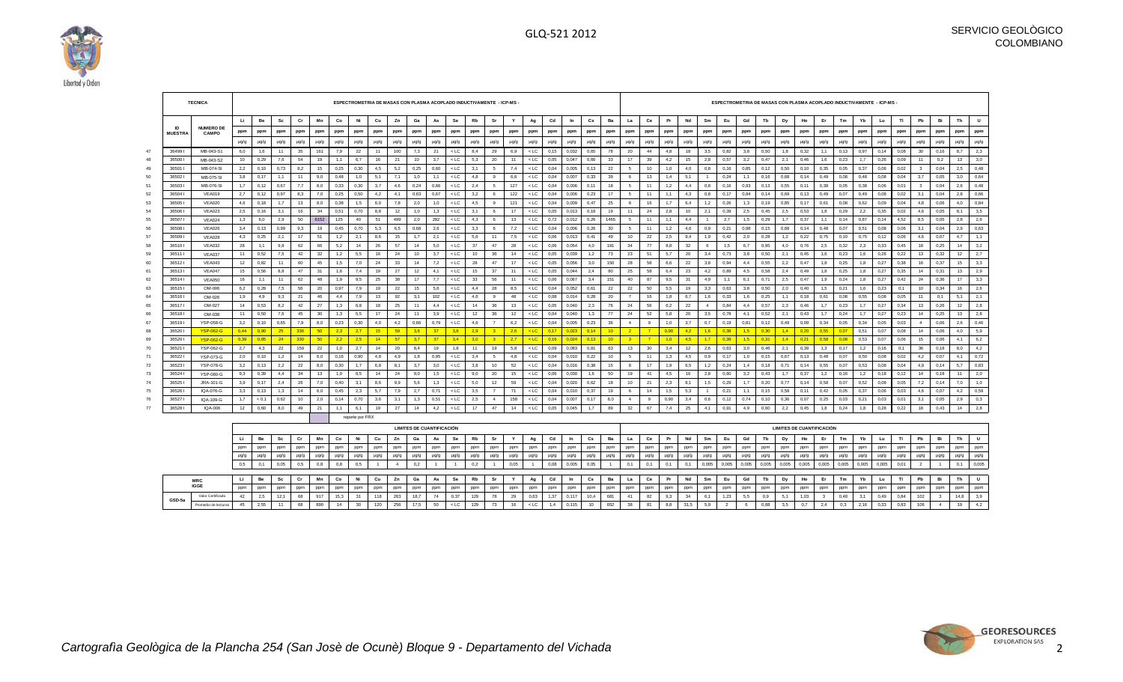

|          |                 | <b>TECNICA</b>          |           |              |           |           |           |            | ESPECTROMETRIA DE MASAS CON PLASMA ACOPLADO INDUCTIVAMENTE - ICP-MS - |           |                |          |                                  |                  |           |                |          |                  |              |                |                        |                |                |          |            |          |                |               |                 |              | ESPECTROMETRIA DE MASAS CON PLASMA ACOPLADO INDUCTIVAMENTE - ICP-MS - |              |              |              |            |              |              |                |              |          |            |
|----------|-----------------|-------------------------|-----------|--------------|-----------|-----------|-----------|------------|-----------------------------------------------------------------------|-----------|----------------|----------|----------------------------------|------------------|-----------|----------------|----------|------------------|--------------|----------------|------------------------|----------------|----------------|----------|------------|----------|----------------|---------------|-----------------|--------------|-----------------------------------------------------------------------|--------------|--------------|--------------|------------|--------------|--------------|----------------|--------------|----------|------------|
|          |                 |                         | U.        | Be           | Sc        | Cr        | Mn        | Co         | Ni                                                                    | Cu        | Zn             | Ga       | As                               | Se               | Rb        | Sr             | Y        | Ag               | Cd           | In             | $\mathbf{c}\mathbf{s}$ | Ba             | La             | Ce       | Pr         | Nd       | Sm             | Eu            | Gd              | Tb           | Dy                                                                    | Ho           | Er           | Tm           | Yb         | Lu           | T1           | Pb             | Bi           | Th       | U          |
|          | <b>ID</b>       | <b>NUMERO DE</b>        | ppm       | ppm          | ppm       | ppm       | ppm       | ppm        | ppm                                                                   | ppm       | ppm            | ppm      | ppm                              | ppm              | ppm       | ppm            | ppm      | ppm              | ppm          | ppm            | ppm                    | ppm            | ppm            | ppm      | ppm        | ppm      | ppm            | ppm           | ppm             | ppm          | ppm                                                                   | ppm          | ppm          | ppm          | ppm        | ppm          | ppm          | ppm            | ppm          | ppm      | ppm        |
|          | <b>MUESTRA</b>  | <b>CAMPO</b>            | $\mu$ g/g | µg/g         | µg/g      | µg/g      | $\mu$ g/g | µg/g       | µg/g                                                                  | $\mu$ g/g | µg/g           | µg/g     | $\mu$ g/g                        | $\mu$ g/g        | $\mu$ g/g | µg/g           | µg/g     | µg/g             | $\mu$ g/g    | µg/g           | $\mu$ g/g              | µg/g           | µg/g           | µg/g     | µg/g       | µg/g     | µg/g           | $\mu$ g/g     | $\mu$ g/g       | µg/g         | µg/g                                                                  | µg/g         | µg/g         | µg/g         | µg/g       | µg/g         | µg/g         | $\mu$ g/g      | µg/g         | µg/g     | $\mu$ g/g  |
| 47       | 364991          | MB-043-S1               | 6,0       | 1,6          | 11        | 35        | 161       | 7,9        | 22                                                                    | 11        | 100            | 7,3      | 21                               | $<$ LC           | 8,4       | 29             | 6,9      | $<$ LC           | 0,15         | 0,032          | 0,65                   | 78             | 20             | 44       | 4,8        | 18       | 3,5            | 0,82          | 3,8             | 0,50         | 1,8                                                                   | 0,32         | 1,1          | 0,13         | 0,97       | 0,14         | 0,08         | 30             | 0,16         | 8,7      | 2,3        |
| 48       | 36500           | MB-043-S2               | 10        | 0,29         | 7,6       | 54        | 19        | 1,1        | 6,7                                                                   | 16        | 21             | 10       | 3,7                              | $<$ LC $\,$      | 5,3       | 20             | 11       | $<$ LC           | 0,05         | 0,047          | 0,66                   | 33             | 17             | 39       | 4,2        | 15       | 2,8            | 0,57          | 3,2             | 0,47         | 2,1                                                                   | 0,46         | 1,6          | 0,23         | 1.7        | 0,26         | 0,09         | 11             | 0,2          | 13       | 3,0        |
| 49       | 36501 l         | MB-074-SI               | 2,2       | 0, 10        | 0,73      | 8,2       | 15        | 0,25       | 0,30                                                                  | 4,5       | 5,2            | 0,25     | 0,60                             | $<$ LC           | 3,1       | -5             | 7,4      | $<$ LC           | 0,04         | 0,005          | 0,13                   | 22             | -5             | 10       | 1,0        | 4,0      | 0,8            | 0,16          | 0,85            | 0, 12        | 0,50                                                                  | 0,10         | 0,35         | 0,05         | 0,37       | 0,06         | 0,02         | $_{3}$         | 0,04         | 2,5      | 0,48       |
| 50       | 365021          | MB-075-SI               | 3,8       | 0,17         | 1,1       | 11        | 9,0       | 0,48       | 1,0                                                                   | 5,1       | 7,1            | 1,0      | 1,1                              | $<$ LC           | 4,8       | $\mathbf{q}$   | 6,6      | $<$ LC           | 0,04         | 0,007          | 0,33                   | 39             | 6              | 13       | 1,4        | 5,1      | $\blacksquare$ | 0,24          | 1,1             | 0,16         | 0,68                                                                  | 0,14         | 0,49         | 0,08         | 0,48       | 0,08         | 0,04         | 3,7            | 0,05         | 3,0      | 0.64       |
|          | 36503           | MB-076-SI               | 1,7       | 0,12         | 0,67      | 7,7       | 8,0       | 0,33       | 0,30                                                                  | 3,7       | 4,6            | 0,24     | 0,66                             | $<$ LC           | 2,4       | 5              | 127      | $<$ LC           | 0,04         | 0,006          | 0,11                   | 18             | 5              | 11       | 1,2        | 4,4      | 0,8            | 0,16          | 0,93            | 0,13         | 0,55                                                                  | 0,11         | 0,38         | 0,05         | 0,38       | 0,06         | 0,01         | $_{3}$         | 0,04         | 2,6      | 0,48       |
| 52       | 36504           | <b>VEA019</b>           | 2.7       | 0.12         | 0.97      | 8.3       | 7.0       | 0.25       | 0.50                                                                  | 4.2       | 4.1            | 0.63     | 0.67                             | $<$ LC           | 3.2       | 6              | 122      | $<$ LC           | 0.04         | 0.006          | 0.23                   | 17             | 5              | 11       | 1.1        | 4.3      | 0.8            | 0.17          | 0.94            | 0.14         | 0.69                                                                  | 0.13         | 0.49         | 0.07         | 0.49       | 0.08         | 0.02         | 3.1            | 0.04         | 2,8      | 0.66       |
| 53       | 36505           | <b>VEA020</b>           | 4.6       | 0.18         | 1.7       | 13        | 8.0       | 0.38       | 1,5                                                                   | 6,0       | 7.8            | 2.0      | 1.0                              | $<$ LC           | 4.5       | 9              | 121      | $<$ LC           | 0.04         | 0.009          | 0.47                   | 25             | -8             | 16       | 1.7        | 6.4      | 1.2            | 0.26          | 1.3             | 0.19         | 0.85                                                                  | 0.17         | 0,61         | 0.08         | 0.62       | 0,09         | 0.04         | 4.8            | 0.06         | 4,0      | 0.84       |
|          | 365061          | <b>VEA023</b>           | 2.5       | 0.16         | 3.1       | 16        | 34        | 0,51       | 0.70                                                                  | 8,8       | 12             | 1,0      | 1.3                              | $<$ LC           | 3,1       | - 6            | 17       | $<$ LC           | 0.05         | 0.013          | 0.18                   | 19             | 11             | 24       | 2,8        | 10       | 2.1            | 0.39          | 2,5             | 0.45         | 2.5                                                                   | 0.53         | 1,8          | 0,29         | 2,2        | 0,35         | 0.02         | 46             | 0.05         | 8.1      | 3,5        |
| 55       | 365071          | <b>VEA024</b>           | 1.3       | 6,0          | 2,9       | 50        | 6152      | 125        | 40                                                                    | 51        | 499            | 2,0      | 282                              | $<$ LC           | 4.3       | - 6            | 13       | $<$ LC           | 0,72         | 0.012          | 0.26                   | 1465           | 5              | 11       | 1.1        | 4.4      | $\overline{1}$ | 2.7           | 1.5             | 0,29         | 1.7                                                                   | 0.37         | 1,1          | 0.14         | 0.87       | 0.14         | 4.52         | 8,5            | 0.05         | 2,8      | 2,6        |
| 56       | 36508           | <b>VEA026</b>           | 3,4       | 0,13         | 0,99      | 9,3       | 19        | 0,45       | 0,70                                                                  | 5,3       | 6,5            | 0,68     | 2,6                              | $<$ LC           | 3,3       | - 6            | 7,2      | $<$ LC           | 0,04         | 0,006          | 0,26                   | 30             | -5             | 11       | 1,2        | 4,6      | 0,9            | 0,21          | 0,98            | 0, 15        | 0,68                                                                  | 0,14         | 0,48         | 0,07         | 0,51       | 0,08         | 0,06         | 3,1            | 0,04         | 2,9      | 0,63       |
|          | 365091          | <b>VEA028</b>           | 4,3       | 0,25         | 2,1       | 17        | 51        | 1,2        | 2,1                                                                   | 8,6       | 15             | 1,7      | 2,1                              | $<$ LC           | 5,6       | 11             | 7,5      | $<$ LC           | 0,06         | 0,013          | 0,41                   | 49             | 10             | 22       | 2,5        | 9,4      | 1,9            | 0,42          | 2,0             | 0,28         | 1,2                                                                   | 0,22         | 0,75         | 0,10         | 0,75       | 0,12         | 0,06         | 4,6            | 0,07         | 4,7      | 1,1        |
| 58       | 36510           | <b>VEA032</b>           | 28        | 1,1          | 9,8       | 62        | 66        | 5,2        | 14                                                                    | 26        | 57             | 14       | 5,0                              | $<$ LC           | 37        | 47             | 28       | $<$ LC           | 0,06         | 0,054          | 4,0                    | 191            | 34             | 77       | 8,8        | 32       |                | 1,5           | 6,7             | 0.95         | 4,0                                                                   | 0.76         | 2,5          | 0,32         | 2,3        | 0,33         | 0,45         | 18             | 0,25         | 14       | 3,2        |
| 59<br>60 | 36511<br>365121 | <b>VEA037</b><br>VEA043 | 11<br>12  | 0,52<br>0.82 | 7,5<br>11 | 42<br>60  | 32<br>45  | 1,2<br>1.5 | 5,5<br>7.0                                                            | 16<br>24  | 24<br>33       | 10<br>14 | 3,7<br>7.2                       | $<$ LC<br>$<$ LC | 10<br>28  | 36<br>47       | 14<br>17 | $<$ LC<br>$<$ LC | 0,05<br>0.05 | 0,039<br>0.056 | 1,2<br>3.0             | 73<br>150      | 23<br>28       | 51<br>58 | 5,7<br>6.6 | 20<br>22 | 3,4<br>3.8     | 0,73<br>0.94  | 3,8<br>4.4      | 0,50<br>0.55 | 2,1                                                                   | 0,45<br>0.47 | 1,6<br>1.8   | 0.23<br>0.25 | 1,6<br>1.8 | 0,26<br>0.27 | 0,22<br>0.38 | 13<br>16       | 0,32<br>0.37 | 12<br>15 | 2,7<br>3,3 |
| 61       | 365131          | VEA047                  | 15        | 0.56         | 8.8       | 47        | 31        | 1.6        | 7,4                                                                   | 19        | 27             | 12       | 4.1                              | $<$ LC           | 15        | 37             | 11       | $<$ LC           | 0.05         | 0.044          | 2.4                    | 80             | 25             | 58       | 6.4        | 23       | 4.2            | 0.89          | 4.5             | 0.58         | 2,2<br>2.4                                                            | 0.49         | 1.8          | 0.25         | 1.8        | 0.27         | 0.35         | 14             | 0.31         | 13       | 2,9        |
| 62       | 365141          | <b>VEA050</b>           | 16        | 1,1          | 11        | 62        | 48        | 1,9        | 9,5                                                                   | 25        | 38             | 17       | 7,7                              | $<$ LC           | 33        | 56             | 11       | $<$ LC           | 0,06         | 0,067          | 3,4                    | 151            | 40             | 87       | 9,5        | 31       | 4,9            | 1,1           | 6,1             | 0,71         | 2,5                                                                   | 0,47         | 1,9          | 0,24         | 1,8        | 0,27         | 0,42         | 24             | 0,36         | 17       | 3,3        |
| 63       | 365151          | OM-006                  | 6,2       | 0,28         | 7,5       | 56        | 20        | 0,97       | 7,9                                                                   | 19        | 22             | 15       | 5,6                              | $<$ LC           | 4,4       | 28             | 8,5      | $<$ LC           | 0,04         | 0,052          | 0,61                   | 22             | 22             | 50       | 5,5        | 19       | 3,3            | 0,63          | 3,8             | 0,50         | 2,0                                                                   | 0,40         | 1,5          | 0,21         | 1,6        | 0,23         | 0,1          | 10             | 0,34         | 16       | 2,6        |
|          | 365161          | OM-026                  | 1,9       | 4,9          | 9,3       | 21        | 46        | 4,4        | 7,9                                                                   | 13        | 92             | 3,1      | 102                              | $<$ LC           | 4,6       | -9             | 48       | $<$ LC           | 0,08         | 0,014          | 0,28                   | 20             | $\overline{7}$ | 16       | 1,8        | 6,7      | 1,6            | 0,33          | 1,6             | 0,25         | 1,1                                                                   | 0,18         | 0,61         | 0,08         | 0,55       | 0,08         | 0,05         | 11             | 0,1          | 5,1      | 2,1        |
| 65       | 365171          | OM-027                  | 14        | 0,53         | 8.2       | 42        | 27        | 1,3        | 6,8                                                                   | 18        | 25             | 11       | 4,4                              | $<$ LC           | 14        | 36             | 13       | $<$ LC           | 0,05         | 0,040          | 2,3                    | 76             | 24             | 56       | 6,2        | 22       | $\overline{4}$ | 0,84          | 4,4             | 0,57         | 2,3                                                                   | 0,46         | 1,7          | 0,23         | 1,7        | 0,27         | 0,34         | 13             | 0,26         | 12       | 2,8        |
| 66       | 365181          | OM-038                  | 11        | 0,50         | 7,6       | 45        | 30        | 1,3        | 5,5                                                                   | 17        | 24             | 11       | 3,9                              | $<$ LC           | 12        | 36             | 12       | $<$ LC           | 0,04         | 0,040          | 1,3                    | 77             | 24             | 52       | 5,8        | 20       | 3,5            | 0,78          | 4,1             | 0,52         | 2,1                                                                   | 0,43         | 1,7          | 0,24         | 1,7        | 0,27         | 0,23         | 14             | 0.25         | 13       | 2,8        |
| 67       | 365191          | YSP-058-G               | 3,2       | 0, 10        | 0,65      | 7,9       | 8,0       | 0,23       | 0,30                                                                  | 4,0       | 4,2            | 0,66     | 0,79                             | $<$ LC           | 4,6       | $\overline{7}$ | 6,2      | $<$ LC           | 0,04         | 0,005          | 0,23                   | 36             | $\overline{4}$ | 9        | 1,0        | 3,7      | 0.7            | 0, 19         | 0,81            | 0,12         | 0,49                                                                  | 0,09         | 0,34         | 0,05         | 0,34       | 0,05         | 0,03         | $\overline{4}$ | 0,06         | 2,6      | 0,46       |
|          | 36520           | <b>YSP-062-G</b>        | 0.44      | 0.90         | 25        | 336       | 50        | 2.3        | 2.7                                                                   | 15        | 59             | 3,6      | 37                               | 3.8              | 2.9       | $^{\circ}$ 3   | 2.6      | $<$ LC           | 0.17         | 0.023          | 0.14                   | $-10$          | $\overline{2}$ | $-7$     | 0.90       | 4,2      | 1.6            | 0.38          | 1.5             | 0.30         | 1.4                                                                   | 0,20         | 0.55         | 0.07         | 0,51       | 0,07         | 0.08         | 14             | 0,06         | 4,0      | 5,9        |
| 69       | 365201          | <b>YSP-062-G</b>        | 0.39      | 0.85         | 24        | 330       | 50        | 2,2        | 2.5                                                                   | 14        | 57             | 3.7      | 37                               | 3.4              | 3.0       | $\overline{3}$ | 2.7      | $<$ LC           | 0.16         | 0.024          | 0.13                   | 10             | $\overline{3}$ | $-7$     | 1.0        | 4,5      | 1.7            | 0.39          | 1.5             | 0.31         | 1.4                                                                   | 0,21         | 0.58         | 0.08         | 0,53       | 0,07         | 0.06         | 15             | 0,06         | 4,1      | 6,2        |
|          | 36521           | YSP-062-G               | 2,7       | 4,3          | 22        | 159       | 22        | 1,0        | 2,7                                                                   | 14        | 20             | 8,4      | 19                               | 1,8              | 11        | 19             | 5,8      | $<$ LC           | 0,09         | 0,083          | 0,81                   | 63             | 13             | 30       | 3,4        | 12       | 2,6            | 0,63          | 3,0             | 0,46         | 2,1                                                                   | 0,39         | 1,3          | 0,17         | 1,2        | 0,16         | 0,1          | 36             | 0,18         | 8,0      | 4,2        |
|          | 36522           | YSP-073-G               | 2,0       | 0, 10        | 1,2       | 14        | 6,0       | 0,16       | 0,90                                                                  | 4,8       | 4,9            | 1,8      | 0,95                             | $<$ LC           | 3,4       | 5              | 4,8      | $<$ LC           | 0,04         | 0,010          | 0,22                   | 10             | -5             | 11       | 1,3        | 4,5      | 0.9            | 0,17          | 1,0             | 0,15         | 0,67                                                                  | 0,13         | 0,48         | 0,07         | 0,50       | 0,08         | 0,02         | 4,2            | 0,07         | 4,1      | 0,72       |
|          | 36523           | <b>YSP-078-G</b>        | 3,2       | 0,13         | 2.2       | 22        | 8,0       | 0,30       | 1,7                                                                   | 6,8       | 8,1            | 3,7      | 3,0                              | $<$ LC           | 3,8       | 10             | 52       | $<$ LC           | 0,04         | 0,016          | 0,38                   | 15             | $\mathbf{a}$   | 17       | 1,9        | 6,5      | 1,2            | 0,24          | 1,4             | 0,18         | 0.71                                                                  | 0,14         | 0,55         | 0.07         | 0,53       | 0,08         | 0,04         | 4,9            | 0,14         | 5,7      | 0,83       |
| 73       | 36524           | YSP-080-G               | 9,3       | 0,39         | 4,4       | 34        | 13        | 1,0        | 6,5                                                                   | 14        | 24             | 9,0      | 1,5                              | $<$ LC           | 9,0       | 20             | 15       | $<$ LC           | 0,06         | 0,030          | 1,6                    | 50             | 19             | 41       | 4,5        | 16       | 2,8            | 0,60          | 3,2             | 0,43         | 1,7                                                                   | 0,37         | 1,2          | 0,16         | 1,2        | 0,18         | 0,12         | 14             | 0,18         | 11       | 2,0        |
|          | 36525           | JRA-101-G               | 3,9       | 0,17         | 2,4       | 26        | 7,0       | 0,40       | 3,1                                                                   | 8,6       | 9,9            | 5,6      | 1,3                              | $<$ LC           | 5,0       | 12             | 59       | $<$ LC           | 0,04         | 0,020          | 0,62                   | 18             | 10             | 21       | 2,3        | 8,1      | 1,5            | 0,29          | 1,7             | 0,20         | 0,77                                                                  | 0,14         | 0,58         | 0.07         | 0,52       | 0,08         | 0,05         | 7,2            | 0,14         | 7,0      | 1,0        |
|          | 36526           | IQA-076-G               | 3,3       | 0,13         | 1,3       | 14        | 6,0       | 0,45       | 2,3                                                                   | 5,7       | 7,9            | 2,7      | 0,71                             | $<$ LC           | 3,5       | $\overline{7}$ | 71       | $<$ LC           | 0,04         | 0,010          | 0,37                   | 19             | -6             | 14       | 1,5        | 5,3      | -1             | 0,21          | 1,1             | 0,15         | 0,58                                                                  | 0,11         | 0,42         | 0,05         | 0,37       | 0,06         | 0,03         | 4,6            | 0,07         | 4,2      | 0,59       |
|          | 36527           | IQA-109-G               | 1.7       | < 0.1        | 0.62      | 10        | 2,0       | 0,14       | 0,70                                                                  | 3,6       | 3,1            | 1,3      | 0,51                             | $<$ LC           | 2,5       | $\overline{4}$ | 158      | $<$ LC           | 0,04         | 0,007          | 0.17                   | 8,0            | $\overline{4}$ | -9       | 0,90       | 3,4      | 0,6            | 0,12          | 0,74            | 0,10         | 0,36                                                                  | 0,07         | 0,25         | 0,03         | 0,21       | 0,03         | 0,01         | 3,1            | 0,05         | 2,9      | 0,3        |
|          | 365281          | IQA-006                 | 12        | 0,60         | 8,0       | 49        | 21        | 1,1        | 6,1                                                                   | 19        | 27             | 14       | 4,2                              | $<$ LC           | 17        | 47             | 14       | $<$ LC $\,$      | 0,05         | 0,045          | 1,7                    | 89             | 32             | 67       | 7,4        | 25       | 4,1            | 0,91          | 4,9             | 0,60         | 2,2                                                                   | 0,45         | 1,8          | 0,24         | 1,8        | 0,28         | 0,22         | 18             | 0,43         | 14       | 2,8        |
|          |                 |                         |           |              |           |           |           |            | reporte por FRX                                                       |           |                |          |                                  |                  |           |                |          |                  |              |                |                        |                |                |          |            |          |                |               |                 |              |                                                                       |              |              |              |            |              |              |                |              |          |            |
|          |                 |                         |           |              |           |           |           |            |                                                                       |           |                |          | <b>LIMITES DE CUANTIFICACIÓN</b> |                  |           |                |          |                  |              |                |                        |                |                |          |            |          |                |               |                 |              | <b>LIMITES DE CUANTIFICACIÓN</b>                                      |              |              |              |            |              |              |                |              |          |            |
|          |                 |                         | Li        | Be           | Sc        | Cr        | Mn        | Co         | Ni                                                                    | Cu        | Zn             | Ga       | As                               | Se               | Rb        | Sr             | Y        | Ag               | $_{\rm Cd}$  | In             | Cs                     | Ba             | La             | Ce       | Pr         | Nd       | Sm             | Eu            | Gd              | Tb           | Dy                                                                    | Ho           | Er           | Tm           | Yb         | Lu           | TI           | Pb             | Bi           | Th       | U          |
|          |                 |                         | ppm       | ppm          | ppm       | ppm       | ppm       | ppm        | ppm                                                                   | ppm       | ppm            | ppm      | ppm                              | ppm              | ppm       | ppm            | ppm      | ppm              | ppm          | ppm            | ppm                    | ppm            | ppm            | ppm      | ppm        | ppm      | ppm            | ppm           | ppm             | ppm          | ppm                                                                   | ppm          | ppm          | ppm          | ppm        | ppm          | ppm          | ppm            | ppm          | ppm      | ppm        |
|          |                 |                         | $\mu$ g/g | $\mu$ g/g    | µg/g      | $\mu$ g/g | $\mu$ g/g | $\mu$ g/g  | $\mu$ g/g                                                             | $\mu$ g/g | $\mu$ g/g      | µg/g     | $\mu$ g/g                        | $\mu$ g/g        | $\mu$ g/g | $\mu$ g/g      | µg/g     | µg/g             | $\mu$ g/g    | $\mu$ g/g      | $\mu$ g/g              | µg/g           | $\mu$ g/g      | µg/g     | $\mu$ g/g  | µg/g     | $\mu$ g/g      | $\mu$ g/g     | $\mu$ g/g       | $\mu$ g/g    | $\mu$ g/g                                                             | $\mu$ g/g    | $\mu$ g/g    | µg/g         | $\mu$ g/g  | $\mu$ g/g    | µg/g         | $\mu$ g/g      | $\mu$ g/g    | µg/g     | µg/g       |
|          |                 |                         | 0.5       | 0,1          | 0,05      | 0.5       | 0.8       | 0,8        | 0,5                                                                   |           | $\overline{4}$ | 0,2      | $\overline{1}$                   | $\overline{1}$   | 0.2       | $\overline{1}$ | 0.05     |                  | 0.08         | 0.005          | 0.05                   | $\overline{1}$ | 0,1            | 0,1      | 0.1        | 0,1      | 0.005          | 0.005         | 0.005           | 0.005        | 0.005                                                                 | 0.005        | 0,005        | 0.005        | 0.005      | 0.005        | 0.01         | $\overline{2}$ | $\mathbf{1}$ | 0,1      | 0,005      |
|          |                 | <b>MRC</b>              | Li        | Be           | Sc        | Cr        | Mn        | Co         | Ni                                                                    | Cu        | Zn             | Ga       | As                               | Se               | Rb        | -Sr            | Y        | Ag               | $_{\rm Cd}$  | In             | Cs                     | Ba             | La             | Ce       | Pr         | Nd       | Sm             | Eu            | Gd              | Tb           | Dy                                                                    | Ho           | Er           | Tm           | Yb         | Lu           | TI           | Pb             | Bi           | Th       | U          |
|          |                 | <b>IGGE</b>             | ppm       | ppm          | ppm       | ppm       | ppm       | ppm        | ppm                                                                   | ppm       | ppm            | ppm      | ppm                              | ppm              | ppm       | ppm            | ppm      | ppm              | ppm          | ppm            | ppm                    | ppm            | ppm            | ppm      | ppm        | ppm      | ppm            | ppm           | ppm             | ppm          | ppm                                                                   | ppm          | ppm          | ppm          | ppm        | ppm          | ppm          | ppm            | ppm          | ppm      | ppm        |
|          |                 | Valor Certificado       | 42        | 2,5          | 12,1      | 68        | 917       | 15,3       | 31                                                                    | 118       | 263            | 18,7     | 74                               | 0,37             | 129       | 78             | 29       | 0,63             | 1,37         | 0,117          | 10,4                   | 681            | 41             | 82       | 9,3        | 34       | 6,1            | 1,23          | 5,5             | 0,9          | 5,1                                                                   | 1,03         | $\mathbf{3}$ | 0,48         | 3,1        | 0,49         | 0,84         | 102            | $\mathbf{3}$ | 14,8     | 3,9        |
|          | GSD-5a          | Promedio de lecturas    | 45        | 2.55         | 11        | 68        | 890       | 14         | 30                                                                    | 120       | 256            | 17.5     | 50                               | $<$ LC           | 129       | 73             | 16       | $<$ LC           | 1.4          | 0.115          | 10                     | 652            | 38             | 81       | 8.8        | 31.5     | 5.9            | $\mathcal{L}$ | $6\overline{6}$ | 0.88         | 3.5                                                                   | 0.7          | 2.4          | 0.3          | 2.16       | 0.33         | 0.83         | 106            |              | 19       | 4,2        |

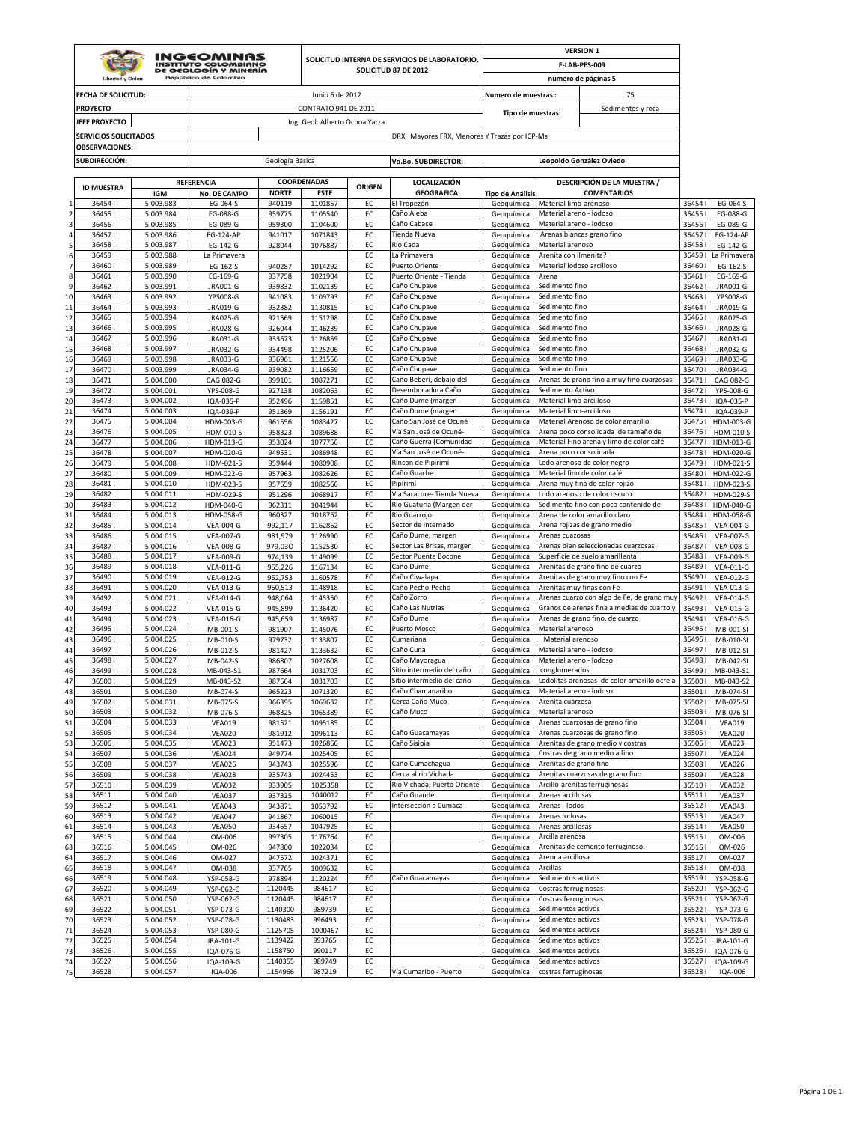|                           |                              |                        | <b>INGEOMINAS</b>                             |                        |                                |               |                                                                        |                                |                                                    | <b>VERSION 1</b>                                                                         |                 |                                      |
|---------------------------|------------------------------|------------------------|-----------------------------------------------|------------------------|--------------------------------|---------------|------------------------------------------------------------------------|--------------------------------|----------------------------------------------------|------------------------------------------------------------------------------------------|-----------------|--------------------------------------|
|                           |                              |                        | INSTITUTO COLOMBIANO<br>DE GEOLOGÍA Y MINERÍA |                        |                                |               | SOLICITUD INTERNA DE SERVICIOS DE LABORATORIO.<br>SOLICITUD 87 DE 2012 |                                |                                                    | F-LAB-PES-009                                                                            |                 |                                      |
|                           | Libertod v Order             |                        | República de Colombia                         |                        |                                |               |                                                                        |                                |                                                    | numero de páginas 5                                                                      |                 |                                      |
|                           | <b>FECHA DE SOLICITUD:</b>   |                        |                                               |                        | Junio 6 de 2012                |               |                                                                        | Numero de muestras :           |                                                    | 75                                                                                       |                 |                                      |
|                           | <b>PROYECTO</b>              |                        |                                               |                        | CONTRATO 941 DE 2011           |               |                                                                        |                                |                                                    | Sedimentos y roca                                                                        |                 |                                      |
|                           | <b>JEFE PROYECTO</b>         |                        |                                               |                        | Ing. Geol. Alberto Ochoa Yarza |               |                                                                        | Tipo de muestras:              |                                                    |                                                                                          |                 |                                      |
|                           | <b>SERVICIOS SOLICITADOS</b> |                        |                                               |                        |                                |               | DRX, Mayores FRX, Menores Y Trazas por ICP-Ms                          |                                |                                                    |                                                                                          |                 |                                      |
|                           | <b>OBSERVACIONES:</b>        |                        |                                               |                        |                                |               |                                                                        |                                |                                                    |                                                                                          |                 |                                      |
|                           | <b>SUBDIRECCIÓN:</b>         |                        |                                               | Geología Básica        |                                |               | Vo.Bo. SUBDIRECTOR:                                                    |                                |                                                    | Leopoldo González Oviedo                                                                 |                 |                                      |
|                           |                              |                        |                                               |                        |                                |               |                                                                        |                                |                                                    |                                                                                          |                 |                                      |
|                           | <b>ID MUESTRA</b>            |                        | REFERENCIA                                    |                        | COORDENADAS                    | <b>ORIGEN</b> | LOCALIZACIÓN                                                           |                                |                                                    | DESCRIPCIÓN DE LA MUESTRA /                                                              |                 |                                      |
|                           | 364541                       | IGM<br>5.003.983       | No. DE CAMPO<br>EG-064-S                      | <b>NORTE</b><br>940119 | <b>ESTE</b><br>1101857         | EC            | <b>GEOGRAFICA</b><br>El Tropezón                                       | Tipo de Análisis<br>Geoguímica | Material limo-arenoso                              | <b>COMENTARIOS</b>                                                                       | 36454           | EG-064-S                             |
| $\overline{2}$            | 364551                       | 5.003.984              | EG-088-G                                      | 959775                 | 1105540                        | EC            | Caño Aleba                                                             | Geoquímica                     | Material areno - lodoso                            |                                                                                          | 36455           | EG-088-G                             |
| 3                         | 364561                       | 5.003.985              | EG-089-G                                      | 959300                 | 1104600                        | EC            | Caño Cabace                                                            | Geoquímica                     | Material areno - lodoso                            |                                                                                          | 36456           | EG-089-G                             |
| $\overline{a}$<br>5       | 364571<br>364581             | 5.003.986<br>5.003.987 | <b>EG-124-AP</b><br>EG-142-G                  | 941017<br>928044       | 1071843<br>1076887             | EC<br>EC      | Tienda Nueva<br>Río Cada                                               | Geoguímica<br>Geoguímica       | Material arenoso                                   | Arenas blancas grano fino                                                                | 36457<br>36458  | EG-124-AP<br>EG-142-G                |
| 6                         | 36459                        | 5.003.988              | La Primavera                                  |                        |                                | EC            | La Primavera                                                           | Geoquímica                     | Arenita con ilmenita?                              |                                                                                          | 36459           | La Primavera                         |
| $\overline{\mathbf{z}}$   | 364601                       | 5.003.989              | EG-162-S                                      | 940287                 | 1014292                        | EC            | Puerto Oriente                                                         | Geoquímica                     | Material lodoso arcilloso                          |                                                                                          | 36460           | EG-162-S                             |
| $\bf 8$<br>$\overline{9}$ | 36461<br>364621              | 5.003.990<br>5.003.991 | EG-169-G<br>JRA001-G                          | 937758<br>939832       | 1021904<br>1102139             | EC<br>EC      | Puerto Oriente - Tienda<br>Caño Chupave                                | Geoquímica<br>Geoquímica       | Arena<br>Sedimento fino                            |                                                                                          | 36461<br>36462  | EG-169-G<br>JRA001-G                 |
| 10                        | 364631                       | 5.003.992              | <b>YPS008-G</b>                               | 941083                 | 1109793                        | EC            | Caño Chupave                                                           | Geoquímica                     | Sedimento fino                                     |                                                                                          | 36463           | <b>YPS008-G</b>                      |
| 11                        | 364641                       | 5.003.993              | JRA019-G                                      | 932382                 | 1130815                        | EC            | Caño Chupave                                                           | Geoquímica                     | Sedimento fino                                     |                                                                                          | 36464           | JRA019-G                             |
| 12                        | 36465                        | 5.003.994              | JRA025-G                                      | 921569                 | 1151298                        | EC            | Caño Chupave                                                           | Geoguímica                     | Sedimento fino<br>Sedimento fino                   |                                                                                          | 36465           | JRA025-G                             |
| 13<br>14                  | 36466<br>36467               | 5.003.995<br>5.003.996 | <b>JRA028-G</b><br>JRA031-G                   | 926044<br>933673       | 1146239<br>1126859             | EC<br>EC      | Caño Chupave<br>Caño Chupave                                           | Geoquímica<br>Geoquímica       | Sedimento fino                                     |                                                                                          | 36466<br>36467  | JRA028-G<br>JRA031-G                 |
| 15                        | 36468                        | 5.003.997              | JRA032-G                                      | 934498                 | 1125206                        | EC            | Caño Chupave                                                           | Geoquímica                     | Sedimento fino                                     |                                                                                          | 36468           | JRA032-G                             |
| 16                        | 36469                        | 5.003.998              | JRA033-G                                      | 936961                 | 1121556                        | EC            | Caño Chupave                                                           | Geoquímica                     | Sedimento fino                                     |                                                                                          | 36469           | JRA033-G                             |
| 17<br>18                  | 364701<br>364711             | 5.003.999<br>5.004.000 | JRA034-G<br>CAG 082-G                         | 939082<br>999101       | 1116659<br>1087271             | EC<br>EC      | Caño Chupave<br>Caño Beberí, debaio del                                | Geoguímica<br>Geoquímica       | Sedimento fino                                     | Arenas de grano fino a muy fino cuarzosas                                                | 36470<br>36471  | JRA034-G<br>CAG 082-G                |
| 19                        | 364721                       | 5.004.001              | YPS-008-G                                     | 927138                 | 1082063                        | EC            | Desembocadura Caño                                                     | Geoquímica                     | Sedimento Activo                                   |                                                                                          | 36472           | YPS-008-G                            |
| 20                        | 364731                       | 5.004.002              | IQA-035-P                                     | 952496                 | 1159851                        | EC            | Caño Dume (margen                                                      | Geoquímica                     | Material limo-arcilloso                            |                                                                                          | 364731          | IQA-035-P                            |
| 21                        | 364741                       | 5.004.003              | IQA-039-P                                     | 951369                 | 1156191                        | EC            | Caño Dume (margen                                                      | Geoquímica                     | Material limo-arcilloso                            |                                                                                          | 36474           | IQA-039-P                            |
| 22<br>23                  | 36475<br>364761              | 5.004.004<br>5.004.005 | HDM-003-G<br>HDM-010-S                        | 961556<br>958323       | 1083427<br>1089688             | EC<br>EC      | Caño San José de Ocuné<br>Vía San José de Ocuné-                       | Geoquímica<br>Geoquímica       |                                                    | Material Arenoso de color amarillo<br>Arena poco consolidada de tamaño de                | 36475<br>36476  | HDM-003-G<br>HDM-010-S               |
| 24                        | 364771                       | 5.004.006              | HDM-013-G                                     | 953024                 | 1077756                        | EC            | Caño Guerra (Comunidad                                                 | Geoguímica                     |                                                    | Material Fino arena y limo de color café                                                 | 36477           | HDM-013-G                            |
| 25                        | 364781                       | 5.004.007              | HDM-020-G                                     | 949531                 | 1086948                        | EC            | Vía San José de Ocuné-                                                 | Geoquímica                     | Arena poco consolidada                             |                                                                                          | 364781          | HDM-020-G                            |
| 26<br>27                  | 364791<br>364801             | 5.004.008<br>5.004.009 | HDM-021-S<br>HDM-022-G                        | 959444<br>957963       | 1080908<br>1082626             | EC<br>EC      | Rincon de Pipirimí<br>Caño Guache                                      | Geoquímica<br>Geoquímica       |                                                    | Lodo arenoso de color negro<br>Material fino de color café                               | 36479<br>364801 | HDM-021-S<br>HDM-022-G               |
| 28                        | 364811                       | 5.004.010              | HDM-023-S                                     | 957659                 | 1082566                        | EC            | Pipirimí                                                               | Geoguímica                     |                                                    | Arena muy fina de color rojizo                                                           | 36481           | HDM-023-S                            |
| 29                        | 364821                       | 5.004.011              | HDM-029-S                                     | 951296                 | 1068917                        | EC            | Via Saracure- Tienda Nueva                                             | Geoguímica                     |                                                    | odo arenoso de color oscuro                                                              | 36482           | HDM-029-S                            |
| 30                        | 364831                       | 5.004.012              | HDM-040-G                                     | 962311                 | 1041944                        | EC            | Rio Guaturia (Margen der                                               | Geoquímica                     |                                                    | Sedimento fino con poco contenido de                                                     | 36483           | HDM-040-G                            |
| 31<br>32                  | 36484<br>36485               | 5.004.013<br>5.004.014 | HDM-058-G<br><b>VEA-004-G</b>                 | 960327<br>992,117      | 1018762<br>1162862             | EC<br>EC      | Rio Guarrojo<br>Sector de Internado                                    | Geoquímica<br>Geoquímica       |                                                    | Arena de color amarillo claro<br>Arena rojizas de grano medio                            | 36484<br>36485  | HDM-058-G<br><b>VEA-004-G</b>        |
| 33                        | 36486                        | 5.004.015              | <b>VEA-007-G</b>                              | 981,979                | 1126990                        | EC            | Caño Dume, margen                                                      | Geoquímica                     | Arenas cuazosas                                    |                                                                                          | 36486           | <b>VEA-007-G</b>                     |
| 34                        | 364871                       | 5.004.016              | <b>VEA-008-G</b>                              | 979.030                | 1152530                        | EC            | Sector Las Brisas, margen                                              | Geoquímica                     |                                                    | Arenas bien seleccionadas cuarzosas                                                      | 36487           | <b>VEA-008-G</b>                     |
| 35<br>36                  | 364881<br>364891             | 5.004.017<br>5.004.018 | <b>VEA-009-G</b><br><b>VEA-011-G</b>          | 974,139<br>955,226     | 1149099<br>1167134             | EC<br>EC      | Sector Puente Bocone<br>Caño Dume                                      | Geoquímica<br>Geoquímica       |                                                    | Superficie de suelo amarillenta<br>Arenitas de grano fino de cuarzo                      | 36488<br>36489  | <b>VEA-009-G</b><br>VEA-011-G        |
| 37                        | 36490                        | 5.004.019              | <b>VEA-012-G</b>                              | 952,753                | 1160578                        | EC            | Caño Ciwalapa                                                          | Geoguímica                     |                                                    | Arenitas de grano muy fino con Fe                                                        | 36490           | VEA-012-G                            |
| 38                        | 36491                        | 5.004.020              | <b>VEA-013-G</b>                              | 950,513                | 1148918                        | EC            | Caño Pecho-Pecho                                                       | Geoquímica                     |                                                    | Arenitas muy finas con Fe                                                                | 36491           | <b>VEA-013-G</b>                     |
| 39                        | 36492<br>36493               | 5.004.021<br>5.004.022 | <b>VEA-014-G</b>                              | 948,064<br>945,899     | 1145350                        | EC<br>EC      | Caño Zorro<br>Caño Las Nutrias                                         | Geoquímica<br>Geoquímica       |                                                    | Arenas cuarzo con algo de Fe, de grano muy<br>Granos de arenas fina a medias de cuarzo y | 36492<br>36493  | <b>VEA-014-G</b><br><b>VEA-015-G</b> |
| 40<br>41                  | 364941                       | 5.004.023              | VEA-015-G<br><b>VEA-016-G</b>                 | 945,659                | 1136420<br>1136987             | EC            | Caño Dume                                                              | Geoquímica                     |                                                    | Arenas de grano fino, de cuarzo                                                          | 36494           | <b>VEA-016-G</b>                     |
| 42                        | 36495                        | 5.004.024              | MB-001-SI                                     | 981907                 | 1145076                        | EC            | Puerto Mosco                                                           | Geoquímica                     | Material arenoso                                   |                                                                                          | 36495           | MB-001-SI                            |
| 43                        | 364961                       | 5.004.025              | MB-010-SI                                     | 979732                 | 1133807                        | EC            | Cumariana                                                              | Geoquímica                     | Material arenoso                                   |                                                                                          | 364961          | MB-010-SI                            |
| 44<br>45                  | 364971<br>364981             | 5.004.026<br>5.004.027 | MB-012-SI<br>MB-042-SI                        | 981427<br>986807       | 1133632<br>1027608             | EC<br>EC      | Caño Cuna<br>Caño Mayoragua                                            | Geoquímica<br>Geoguímica       | Material areno - lodoso<br>Material areno - lodoso |                                                                                          | 36497<br>364981 | MB-012-SI<br>MB-042-SI               |
| 46                        | 36499                        | 5.004.028              | MB-043-S1                                     | 987664                 | 1031703                        | EC            | Sitio intermedio del caño                                              | Geoquímica                     | conglomerados                                      |                                                                                          | 364991          | MB-043-S1                            |
| 47                        | 36500                        | 5.004.029              | MB-043-52                                     | 98/664                 | 1031703                        | EC            | iitio intermedio del caño                                              | Geoguinica                     |                                                    | odolitas arenosas de color amarillo ocre a                                               | 365001          | MB-043-S2                            |
| 48<br>49                  | 365011<br>36502              | 5.004.030<br>5.004.031 | MB-074-SI<br>MB-075-SI                        | 965223<br>966395       | 1071320<br>1069632             | EC<br>EC      | Caño Chamanaribo<br>Cerca Caño Muco                                    | Geoguímica<br>Geoquímica       | Material areno - lodoso<br>Arenita cuarzosa        |                                                                                          | 365011<br>36502 | MB-074-SI<br>MB-075-SI               |
| 50                        | 36503                        | 5.004.032              | MB-076-SI                                     | 968325                 | 1065389                        | EC            | Caño Muco                                                              | Geoquímica                     | Material arenoso                                   |                                                                                          | 36503           | MB-076-SI                            |
| 51                        | 365041                       | 5.004.033              | <b>VEA019</b>                                 | 981521                 | 1095185                        | EC            |                                                                        | Geoquímica                     |                                                    | Arenas cuarzosas de grano fino                                                           | 36504           | <b>VEA019</b>                        |
| 52<br>53                  | 365051<br>365061             | 5.004.034<br>5.004.035 | <b>VEA020</b><br><b>VEA023</b>                | 981912<br>951473       | 1096113<br>1026866             | EC<br>EC      | Caño Guacamayas<br>Caño Sisipia                                        | Geoquímica<br>Geoquímica       |                                                    | Arenas cuarzosas de grano fino<br>Arenitas de grano medio y costras                      | 36505<br>36506  | <b>VEA020</b><br><b>VEA023</b>       |
| 54                        | 365071                       | 5.004.036              | <b>VEA024</b>                                 | 949774                 | 1025405                        | EC            |                                                                        | Geoquímica                     |                                                    | Costras de grano medio a fino                                                            | 36507           | <b>VEA024</b>                        |
| 55                        | 36508                        | 5.004.037              | <b>VEA026</b>                                 | 943743                 | 1025596                        | EC            | Caño Cumachagua                                                        | Geoquímica                     | Arenitas de grano fino                             |                                                                                          | 36508           | <b>VEA026</b>                        |
| 56                        | 36509                        | 5.004.038              | <b>VEA028</b>                                 | 935743                 | 1024453                        | EC            | Cerca al rio Vichada                                                   | Geoquímica                     |                                                    | Arenitas cuarzosas de grano fino                                                         | 36509           | <b>VEA028</b>                        |
| 57<br>58                  | 365101<br>365111             | 5.004.039<br>5.004.040 | <b>VEA032</b><br><b>VEA037</b>                | 933905<br>937325       | 1025358<br>1040012             | EC<br>EC      | Río Vichada, Puerto Oriente<br>Caño Guandé                             | Geoquímica<br>Geoquímica       | Arenas arcillosas                                  | Arcillo-arenitas ferruginosas                                                            | 36510<br>36511  | <b>VEA032</b><br><b>VEA037</b>       |
| 59                        | 365121                       | 5.004.041              | <b>VEA043</b>                                 | 943871                 | 1053792                        | EC            | Intersección a Cumaca                                                  | Geoquímica                     | Arenas - lodos                                     |                                                                                          | 36512           | <b>VEA043</b>                        |
| 60                        | 365131                       | 5.004.042              | <b>VEA047</b>                                 | 941867                 | 1060015                        | EC            |                                                                        | Geoquímica                     | Arenas lodosas                                     |                                                                                          | 36513           | <b>VEA047</b>                        |
| 61<br>62                  | 365141<br>365151             | 5.004.043<br>5.004.044 | <b>VEA050</b><br>OM-006                       | 934657<br>997305       | 1047925<br>1176764             | EC<br>EC      |                                                                        | Geoquímica<br>Geoquímica       | Arenas arcillosas<br>Arcilla arenosa               |                                                                                          | 365141<br>36515 | <b>VEA050</b><br>OM-006              |
| 63                        | 36516                        | 5.004.045              | OM-026                                        | 947800                 | 1022034                        | EC            |                                                                        | Geoquímica                     |                                                    | Arenitas de cemento ferruginoso.                                                         | 365161          | OM-026                               |
| 64                        | 36517                        | 5.004.046              | OM-027                                        | 947572                 | 1024371                        | EC            |                                                                        | Geoquímica                     | Arenna arcillosa                                   |                                                                                          | 36517           | OM-027                               |
| 65                        | 365181<br>36519              | 5.004.047<br>5.004.048 | OM-038                                        | 937765                 | 1009632                        | EC<br>EC      | Caño Guacamayas                                                        | Geoquímica                     | Arcillas<br>Sedimentos activos                     |                                                                                          | 36518<br>36519  | OM-038                               |
| 66<br>67                  | 365201                       | 5.004.049              | YSP-058-G<br>YSP-062-G                        | 978894<br>1120445      | 1120224<br>984617              | EC            |                                                                        | Geoquímica<br>Geoquímica       | Costras ferruginosas                               |                                                                                          | 365201          | YSP-058-G<br>YSP-062-G               |
| 68                        | 365211                       | 5.004.050              | YSP-062-G                                     | 1120445                | 984617                         | EC            |                                                                        | Geoquímica                     | Costras ferruginosas                               |                                                                                          | 365211          | YSP-062-G                            |
| 69                        | 365221                       | 5.004.051              | YSP-073-G                                     | 1140300                | 989739                         | EC            |                                                                        | Geoquímica                     | Sedimentos activos                                 |                                                                                          | 365221          | YSP-073-G                            |
| 70<br>71                  | 365231<br>365241             | 5.004.052<br>5.004.053 | YSP-078-G<br>YSP-080-G                        | 1130483<br>1125705     | 996493<br>1000467              | EC<br>EC      |                                                                        | Geoquímica<br>Geoquímica       | Sedimentos activos<br>Sedimentos activos           |                                                                                          | 365231<br>36524 | YSP-078-G<br>YSP-080-G               |
| 72                        | 36525                        | 5.004.054              | JRA-101-G                                     | 1139422                | 993765                         | EC            |                                                                        | Geoquímica                     | Sedimentos activos                                 |                                                                                          | 36525           | JRA-101-G                            |
| 73                        | 36526                        | 5.004.055              | IQA-076-G                                     | 1158750                | 990117                         | EC            |                                                                        | Geoquímica                     | Sedimentos activos                                 |                                                                                          | 36526           | IQA-076-G                            |
| 74<br>75                  | 365271<br>365281             | 5.004.056<br>5.004.057 | IQA-109-G<br>IQA-006                          | 1140355<br>1154966     | 989749<br>987219               | EC<br>EC      | Vía Cumaribo - Puerto                                                  | Geoquímica<br>Geoquímica       | Sedimentos activos<br>costras ferruginosas         |                                                                                          | 36527<br>365281 | IQA-109-G<br>IQA-006                 |
|                           |                              |                        |                                               |                        |                                |               |                                                                        |                                |                                                    |                                                                                          |                 |                                      |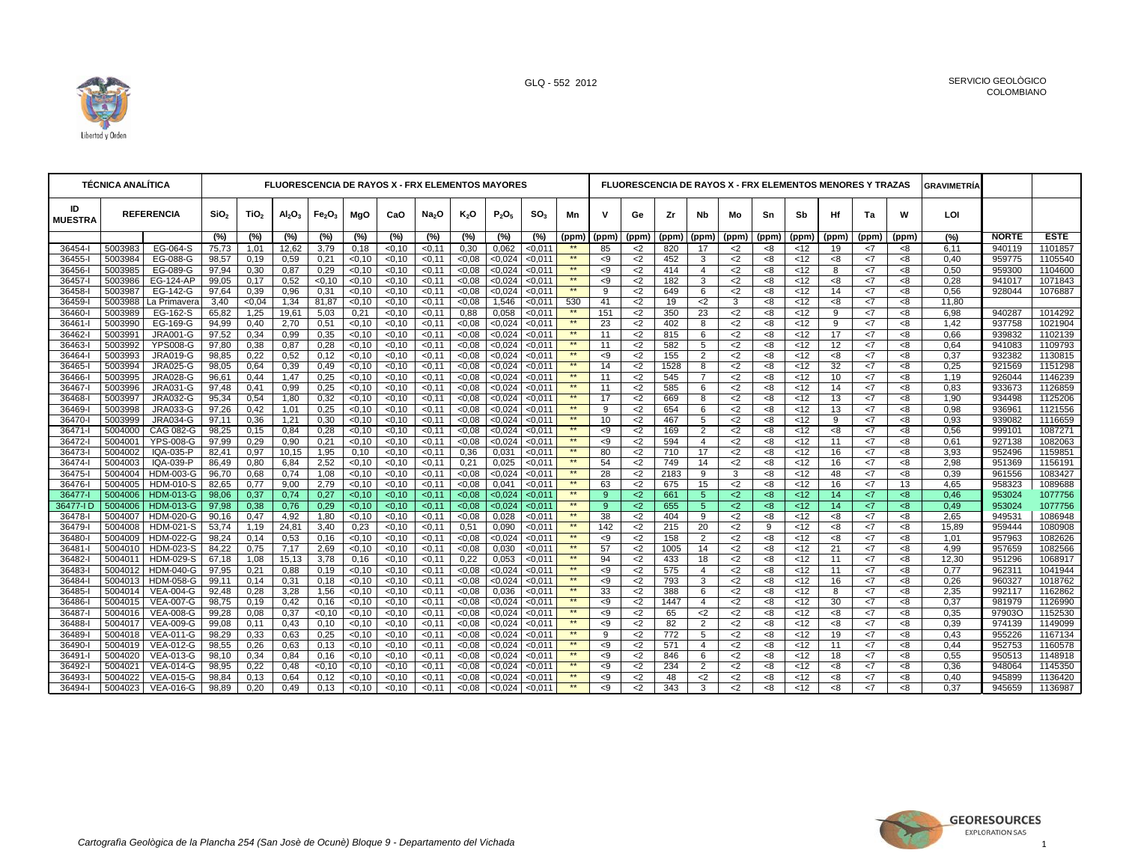

|                      | <b>TÉCNICA ANALÍTICA</b> |                                    |                  |                  |                             |                                |                         |                  | <b>FLUORESCENCIA DE RAYOS X - FRX ELEMENTOS MAYORES</b> |                |                    |                    |                    |          |                |            |                     |                |          |                 |          | <b>FLUORESCENCIA DE RAYOS X - FRX ELEMENTOS MENORES Y TRAZAS</b> |              | <b>GRAVIMETRIA</b> |                  |                    |
|----------------------|--------------------------|------------------------------------|------------------|------------------|-----------------------------|--------------------------------|-------------------------|------------------|---------------------------------------------------------|----------------|--------------------|--------------------|--------------------|----------|----------------|------------|---------------------|----------------|----------|-----------------|----------|------------------------------------------------------------------|--------------|--------------------|------------------|--------------------|
| ID<br><b>MUESTRA</b> |                          | <b>REFERENCIA</b>                  | SiO <sub>2</sub> | TiO <sub>2</sub> | $\mathsf{Al}_2\mathsf{O}_3$ | Fe <sub>2</sub> O <sub>3</sub> | MgO                     | CaO              | Na <sub>2</sub> O                                       | $K_2O$         | $P_2O_5$           | SO <sub>3</sub>    | Mn                 | v        | Ge             | Ζr         | Nb                  | Mo             | Sn       | Sb              | Ηf       | Ta                                                               | W            | LOI                |                  |                    |
|                      |                          |                                    | (%)              | (%)              | (%)                         | (%)                            | (%)                     | (%)              | (%)                                                     | (%)            | (%)                | (%)                | (ppm)              | (ppm)    | (ppm)          | (ppm)      | (ppm)               | (ppm)          | (ppm)    | (ppm)           | (ppm)    | (ppm)                                                            | (ppm)        | (%)                | <b>NORTE</b>     | <b>ESTE</b>        |
| 36454-l              | 5003983                  | EG-064-S                           | 75,73            | 1,01             | 12,62                       | 3,79                           | 0,18                    | 0.10             | < 0.11                                                  | 0,30           | 0.062              | < 0.011            |                    | 85       | $<$ 2          | 820        | 17                  | $<$ 2          | <8       | <12             | 19       | <7                                                               | -8           | 6,11               | 940119           | 1101857            |
| 36455-               | 5003984                  | EG-088-G                           | 98,57            | 0,19             | 0,59                        | 0,21                           | < 0.10                  | < 0.10           | $-0,11$                                                 | <0.08          | < 0.024            | $-0,011$           | $\star\star$       | < 9      | $<$ 2          | 452        | 3                   | $<$ 2          | <8       | < 12            | $8-$     | <7                                                               | < 8          | 0.40               | 959775           | 1105540            |
| 36456-               | 5003985                  | EG-089-G                           | 97,94            | 0,30             | 0,87                        | 0,29                           | < 0.10                  | < 0.10           | < 0.11                                                  | <0.08          | < 0.024            | < 0.011            | $\star\star$       | < 9      | $<$ 2          | 414        | $\overline{4}$      | $<$ 2          | <8       | <12             | 8        | <7                                                               | < 8          | 0,50               | 959300           | 1104600            |
| 36457-l              | 5003986                  | EG-124-AP                          | 99,05            | 0,17             | 0,52                        | < 0, 10                        | < 0, 10                 | 50,10            | < 0,11                                                  | <0,08          | < 0.024            | $0,011$            | $**$               | < 9      | $<$ 2          | 182        | 3                   | $<$ 2          | <8       | $\overline{12}$ | <8       | <7                                                               | 8            | 0,28               | 941017           | 1071843            |
| 36458-               | 5003987                  | EG-142-G                           | 97,64            | 0,39             | 0,96                        | 0,31                           | < 0.10                  | < 0.10           | $-0,11$                                                 | 0.08           | < 0.024            | < 0.011            | **                 | 9        | $<$ 2          | 649        | 6                   | $<$ 2          | <8       | < 12            | 14       | <7                                                               | $8-$         | 0,56               | 928044           | 1076887            |
| 36459-               | 5003988                  | La Primavera                       | 3,40             | <0,04            | 1,34                        | 81,87                          | < 0, 10                 | < 0.10           | < 0, 11                                                 | <0.08          | 1,546              | < 0,011            | 530                | 41       | $<$ 2          | 19         | $2$                 | 3              | <8       | < 12            | <8       | <7                                                               | < 8          | 11,80              |                  |                    |
| 36460-               | 5003989                  | EG-162-S                           | 65,82            | 1,25             | 19,61                       | 5,03                           | 0,21                    | < 0.10           | < 0.11                                                  | 0.88           | 0,058              | < 0.011            | $**$               | 151      | $<$ 2          | 350        | 23                  | $<$ 2          | <8       | < 12            | 9        | <7                                                               | $8-$         | 6.98               | 940287           | 1014292            |
| 36461-               | 5003990                  | EG-169-G                           | 94,99            | 0,40             | 2,70                        | 0,51                           | < 0, 10                 | 50,10            | < 0,11                                                  | <0.08          | < 0.024            | < 0.011            | $\star\star$       | 23       | $<$ 2          | 402        | 8                   | $<$ 2          | <8       | < 12            | 9        | <7                                                               | 8            | 1,42               | 937758           | 1021904            |
| 36462-               | 5003991                  | <b>JRA001-G</b>                    | 97,52            | 0,34             | 0,99                        | 0,35                           | < 0, 10                 | < 0.10           | < 0, 11                                                 | <0.08          | < 0.024            | < 0.011            | $\star\star$<br>** | 11       | $<$ 2          | 815        | 6                   | $<$ 2          | <8       | <12             | 17       | <7                                                               | $8-$         | 0,66               | 939832           | 1102139            |
| 36463-               | 5003992                  | <b>YPS008-G</b>                    | 97,80            | 0,38             | 0,87                        | 0,28                           | $\sqrt{0, 10}$          | 50,10            | < 0,11                                                  | <0.08          | < 0.024            | < 0.011            | $\star\star$       | 11       | $<$ 2          | 582        | 5                   | $<$ 2          | <8       | < 12            | 12       | $\overline{z}$                                                   | $8-$         | 0,64               | 941083           | 1109793            |
| 36464-               | 5003993<br>5003994       | <b>JRA019-G</b><br><b>JRA025-G</b> | 98,85            | 0.22             | 0,52                        | 0,12                           | < 0.10                  | < 0.10           | < 0, 11                                                 | <0.08          | < 0.024            | < 0.011            | **                 | < 9      | $2$            | 155        | 2                   | $<$ 2          | <8       | <12             | <8<br>32 | <7                                                               | < 8          | 0.37               | 932382           | 1130815<br>1151298 |
| 36465-               |                          |                                    | 98,05            | 0,64             | 0,39                        | 0,49                           | < 0, 10                 | < 0, 10          | $-0,11$                                                 | <0,08          | < 0.024            | < 0,011            | **                 | 14       | $2$            | 1528       | 8<br>$\overline{7}$ | $<$ 2          | <8       | < 12            |          | <7                                                               | <8           | 0,25               | 921569           |                    |
| 36466-               | 5003995<br>5003996       | <b>JRA028-G</b>                    | 96,61            | 0.44             | 1,47<br>0,99                | 0,25<br>0,25                   | < 0.10<br>< 0.10        | < 0.10           | < 0.11<br>< 0.11                                        | <0.08          | < 0.024            | < 0.011<br>< 0.011 | $**$               | 11       | $<$ 2          | 545<br>585 |                     | $<$ 2<br>$<$ 2 | <8       | <12<br><12      | 10<br>14 | <7<br><7                                                         | $8-$<br>$8-$ | 1.19<br>0,83       | 926044<br>933673 | 1146239<br>1126859 |
| 36467-               |                          | <b>JRA031-G</b><br><b>JRA032-G</b> | 97,48<br>95,34   | 0,41             |                             |                                |                         | < 0.10           |                                                         | <0.08          | < 0.024            | < 0.011            | $**$               | 11<br>17 | $<$ 2          | 669        | 6<br>8              | $<$ 2          | <8       | <12             | 13       | <7                                                               | 8            |                    |                  | 1125206            |
| 36468-<br>36469-     | 5003997<br>5003998       | <b>JRA033-G</b>                    | 97,26            | 0,54<br>0,42     | 1,80<br>1,01                | 0,32<br>0,25                   | < 0.10<br>$\sqrt{0,10}$ | < 0.10<br>< 0.10 | < 0, 11<br>< 0.11                                       | <0.08<br><0.08 | < 0.024<br>< 0.024 | < 0.011            | $\star\star$       | 9        | $<$ 2<br>$<$ 2 | 654        | 6                   | $<$ 2          | <8<br><8 | < 12            | 13       | <7                                                               | $8-$         | 1,90<br>0.98       | 934498<br>936961 | 1121556            |
| 36470-               | 5003999                  | <b>JRA034-G</b>                    | 97,11            | 0,36             | 1,21                        | 0,30                           | < 0, 10                 | < 0, 10          | < 0, 11                                                 | <0,08          | < 0.024            | < 0,011            | **                 | 10       | $<$ 2          | 467        | 5                   | $<$ 2          | <8       | $\overline{5}$  | 9        | <7                                                               | 8            | 0,93               | 939082           | 1116659            |
| 36471-               | 5004000                  | <b>CAG 082-G</b>                   | 98,25            | 0,15             | 0,84                        | 0,28                           | < 0, 10                 | < 0, 10          | < 0, 11                                                 | <0.08          | < 0.024            | < 0.011            | $\star\star$       | -9       | $<$ 2          | 169        | 2                   | $<$ 2          | <8       | < 12            | <8       | $\leq$ 7                                                         | < 8          | 0,56               | 999101           | 1087271            |
| 36472-               | 5004001                  | <b>YPS-008-G</b>                   | 97,99            | 0.29             | 0,90                        | 0,21                           | < 0, 10                 | 50,10            | < 0.11                                                  | <0.08          | < 0.024            | < 0.011            | $**$               | < 9      | $2$            | 594        | $\overline{4}$      | $<$ 2          | <8       | < 12            | 11       | <7                                                               | 8            | 0.61               | 927138           | 1082063            |
| 36473-               | 5004002                  | IQA-035-P                          | 82,41            | 0,97             | 10,15                       | 1,95                           | 0,10                    | < 0.10           | < 0.11                                                  | 0,36           | 0,031              | < 0.011            | $\star\star$       | 80       | $<$ 2          | 710        | 17                  | $<$ 2          | <8       | < 12            | 16       | <7                                                               | -8           | 3,93               | 952496           | 1159851            |
| $36474 -$            | 5004003                  | IQA-039-P                          | 86,49            | 0,80             | 6,84                        | 2,52                           | $\sqrt{0, 10}$          | 50,10            | < 0,11                                                  | 0,21           | 0,025              | < 0.011            | **                 | 54       | $2$            | 749        | 14                  | $<$ 2          | <8       | < 12            | 16       | <7                                                               | 8            | 2,98               | 951369           | 1156191            |
| 36475-               | 5004004                  | <b>HDM-003-G</b>                   | 96,70            | 0,68             | 0,74                        | 1,08                           | $\sqrt{0,10}$           | < 0.10           | < 0.11                                                  | <0.08          | < 0.024            | < 0.011            | $\star\star$       | 28       | $<$ 2          | 2183       | 9                   | 3              | <8       | < 12            | 48       | <7                                                               | < 8          | 0,39               | 961556           | 1083427            |
| 36476-               | 5004005                  | <b>HDM-010-S</b>                   | 82,65            | 0,77             | 9,00                        | 2,79                           | $\sqrt{0, 10}$          | 50,10            | < 0,11                                                  | <0.08          | 0,041              | < 0.011            | $**$               | 63       | $<$ 2          | 675        | 15                  | $<$ 2          | <8       | < 12            | 16       | $\overline{z}$                                                   | 13           | 4,65               | 958323           | 1089688            |
| 36477-               | 5004006                  | <b>HDM-013-G</b>                   | 98,06            | 0,37             | 0,74                        | 0,27                           | < 0.10                  | < 0.10           | < 0.11                                                  | <0.08          | < 0.024            | < 0.011            | $\star\star$       | 9        | $2$            | 661        | $5\phantom{.0}$     | $2$            | <8       | <12             | 14       | <7                                                               | <8           | 0,46               | 953024           | 1077756            |
| 36477-I D            | 5004006                  | <b>HDM-013-G</b>                   | 97.98            | 0,38             | 0,76                        | 0,29                           | < 0, 10                 | 50,10            | $-0,11$                                                 | <0.08          | < 0.024            | < 0.011            | $\star\star$       | 9        | $2$            | 655        | $5\phantom{.0}$     | $2$            | <8       | < 12            | 14       | <7                                                               | 8            | 0.49               | 953024           | 1077756            |
| 36478-               | 5004007                  | <b>HDM-020-G</b>                   | 90,16            | 0,47             | 4,92                        | 1,80                           | < 0.10                  | < 0.10           | < 0.11                                                  | <0.08          | 0,028              | < 0.011            | **                 | 38       | $2$            | 404        | 9                   | $<$ 2          | <8       | <12             | < 8      | <7                                                               | $8-$         | 2.65               | 949531           | 1086948            |
| 36479-               | 5004008                  | <b>HDM-021-S</b>                   | 53,74            | 1,19             | 24,81                       | 3,40                           | 0,23                    | < 0.10           | < 0, 11                                                 | 0,51           | 0,090              | $0,011$            | $**$               | 142      | $<$ 2          | 215        | 20                  | $<$ 2          | 9        | < 12            | <8       | <7                                                               | 8            | 15,89              | 959444           | 1080908            |
| 36480-               | 5004009                  | HDM-022-G                          | 98,24            | 0,14             | 0,53                        | 0,16                           | < 0, 10                 | < 0, 10          | < 0, 11                                                 | <0.08          | < 0.024            | < 0,011            | $\star\star$       | < 9      | $2$            | 158        | 2                   | $<$ 2          | <8       | < 12            | $8-$     | <7                                                               | < 8          | 1.01               | 957963           | 1082626            |
| 36481-               | 5004010                  | <b>HDM-023-S</b>                   | 84,22            | 0,75             | 7,17                        | 2,69                           | < 0, 10                 | $0,10$           | < 0,11                                                  | <0.08          | 0,030              | < 0.011            | $\star\star$       | 57       | $<$ 2          | 1005       | 14                  | $<$ 2          | <8       | < 12            | 21       | $\overline{5}$                                                   | $8-$         | 4,99               | 957659           | 1082566            |
| 36482-               | 5004011                  | <b>HDM-029-S</b>                   | 67,18            | 1,08             | 15,13                       | 3,78                           | 0,16                    | < 0.10           | < 0, 11                                                 | 0,22           | 0,053              | < 0.011            | **                 | 94       | $<$ 2          | 433        | 18                  | $<$ 2          | <8       | <12             | 11       | <7                                                               | $8-$         | 12,30              | 951296           | 1068917            |
| 36483-               | 5004012                  | <b>HDM-040-G</b>                   | 97,95            | 0,21             | 0,88                        | 0,19                           | < 0, 10                 | <0,10            | < 0.11                                                  | <0.08          | < 0.024            | < 0.011            | $\star\star$       | < 9      | $<$ 2          | 575        | $\overline{4}$      | $<$ 2          | <8       | < 12            | 11       | <7                                                               | $8-$         | 0.77               | 962311           | 1041944            |
| 36484-               | 5004013                  | <b>HDM-058-G</b>                   | 99,11            | 0,14             | 0,31                        | 0,18                           | < 0, 10                 | < 0.10           | < 0.11                                                  | <0.08          | < 0.024            | < 0.011            | $\star\star$       | < 9      | $<$ 2          | 793        | 3                   | $<$ 2          | <8       | <12             | 16       | <7                                                               | $8-$         | 0,26               | 960327           | 1018762            |
| 36485-               | 5004014                  | <b>VEA-004-G</b>                   | 92,48            | 0,28             | 3,28                        | 1,56                           | $\sqrt{0,10}$           | 50,10            | < 0,11                                                  | <0.08          | 0,036              | < 0.011            | **                 | 33       | $<$ 2          | 388        | 6                   | $<$ 2          | <8       | < 12            | 8        | <7                                                               | 8<           | 2,35               | 992117           | 1162862            |
| 36486-               | 5004015                  | <b>VEA-007-G</b>                   | 98.75            | 0.19             | 0,42                        | 0,16                           | < 0.10                  | < 0.10           | < 0.11                                                  | <0.08          | < 0.024            | < 0.011            | $\star\star$       | < 9      | $<$ 2          | 1447       | $\overline{4}$      | $<$ 2          | <8       | <12             | 30       | <7                                                               | <8           | 0.37               | 981979           | 1126990            |
| 36487-               | 5004016                  | <b>VEA-008-G</b>                   | 99,28            | 0,08             | 0,37                        | < 0, 10                        | < 0, 10                 | < 0, 10          | < 0, 11                                                 | <0,08          | < 0,024            | < 0,011            | **                 | < 9      | $<$ 2          | 65         | $\leq$              | $<$ 2          | <8       | <12             | ${<}8$   | <7                                                               | < 8          | 0,35               | 97903O           | 1152530            |
| 36488-               | 5004017                  | <b>VEA-009-G</b>                   | 99,08            | 0,11             | 0,43                        | 0,10                           | < 0.10                  | <0,10            | < 0.11                                                  | <0.08          | < 0.024            | < 0.011            | **                 | < 9      | $2$            | 82         | $\overline{2}$      | $2$            | <8       | <12             | <8       | $\leq$ 7                                                         | <8           | 0.39               | 974139           | 1149099            |
| 36489-               | 5004018                  | <b>VEA-011-G</b>                   | 98,29            | 0,33             | 0,63                        | 0,25                           | < 0.10                  | < 0.10           | < 0.11                                                  | <0.08          | < 0.024            | < 0.011            | $\star\star$       | 9        | $<$ 2          | 772        | 5                   | $<$ 2          | <8       | < 12            | 19       | <7                                                               | < 8          | 0,43               | 955226           | 1167134            |
| 36490-               | 5004019                  | <b>VEA-012-G</b>                   | 98.55            | 0.26             | 0,63                        | 0,13                           | < 0.10                  | <0,10            | < 0.11                                                  | 0.08           | < 0.024            | < 0.011            | $**$               | -9       | $<$ 2          | 571        | $\overline{4}$      | $2$            | <8       | <12             | 11       | <7                                                               | $8-$         | 0.44               | 952753           | 1160578            |
| 36491-               | 5004020                  | VEA-013-G                          | 98,10            | 0,34             | 0,84                        | 0,16                           | < 0.10                  | < 0.10           | < 0.11                                                  | <0.08          | < 0.024            | < 0.011            | $\star\star$       | < 9      | $<$ 2          | 846        | 6                   | $<$ 2          | <8       | < 12            | 18       | <7                                                               | < 8          | 0,55               | 950513           | 1148918            |
| 36492-               | 5004021                  | VEA-014-G                          | 98,95            | 0,22             | 0,48                        | < 0.10                         | $\sqrt{0,10}$           | <0,10            | < 0.11                                                  | <0.08          | < 0.024            | $0,011$            | **                 | $\leq$   | $<$ 2          | 234        | 2                   | $<$ 2          | <8       | < 12            | $8-$     | <7                                                               | < 8          | 0,36               | 948064           | 1145350            |
| 36493-               | 5004022                  | VEA-015-G                          | 98,84            | 0,13             | 0,64                        | 0,12                           | < 0.10                  | 0.10             | < 0.11                                                  | <0.08          | < 0.024            | < 0.011            | **                 | -9       | $<$ 2          | 48         | $<$ 2               | $2$            | <8       | <12             | <8       | <7                                                               | < 8          | 0,40               | 945899           | 1136420            |
| 36494-l              | 5004023                  | <b>VEA-016-G</b>                   | 98,89            | 0.20             | 0.49                        | 0,13                           | < 0.10                  | < 0.10           | < 0.11                                                  | <0.08          | < 0.024            | < 0.011            | $**$               | $\leq 9$ | $\leq$         | 343        | 3                   | $\leq$         | <8       | <12             | $8-$     | $\leq 7$                                                         | $8-$         | 0.37               | 945659           | 1136987            |